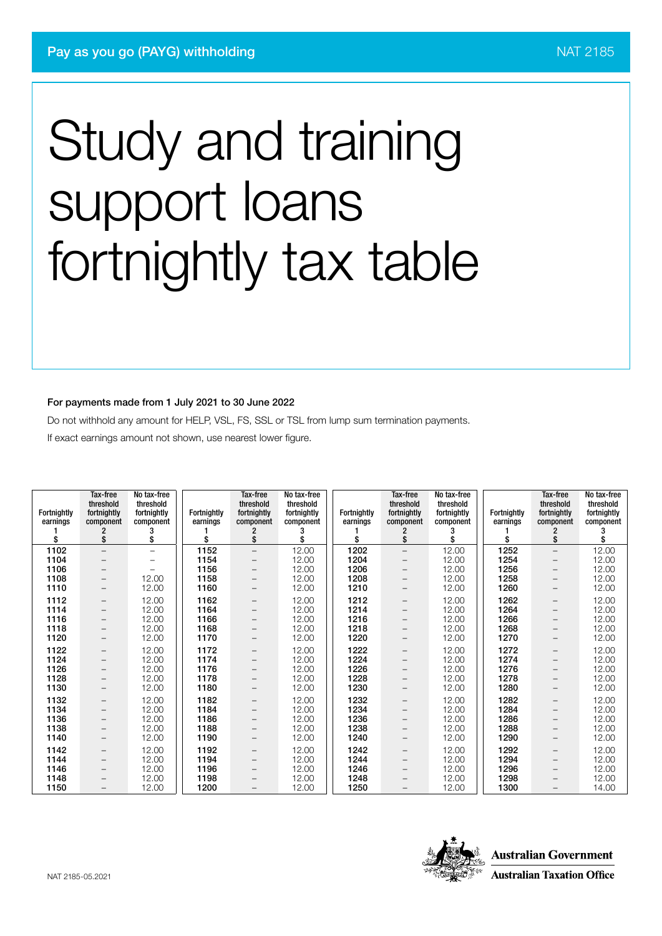#### For payments made from 1 July 2021 to 30 June 2022

Do not withhold any amount for HELP, VSL, FS, SSL or TSL from lump sum termination payments.

If exact earnings amount not shown, use nearest lower figure.

| Fortnightly<br>earnings<br>\$ | Tax-free<br>threshold<br>fortnightly<br>component<br>\$ | No tax-free<br>threshold<br>fortnightly<br>component<br>3<br>\$ | Fortnightly<br>earnings<br>\$ | Tax-free<br>threshold<br>fortnightly<br>component<br>2<br>\$ | No tax-free<br>threshold<br>fortnightly<br>component<br>\$ | <b>Fortnightly</b><br>earnings<br>\$ | Tax-free<br>threshold<br>fortnightly<br>component<br>\$ | No tax-free<br>threshold<br>fortnightly<br>component<br>\$ | <b>Fortnightly</b><br>earnings<br>\$ | Tax-free<br>threshold<br>fortnightly<br>component<br>\$ | No tax-free<br>threshold<br>fortnightly<br>component |
|-------------------------------|---------------------------------------------------------|-----------------------------------------------------------------|-------------------------------|--------------------------------------------------------------|------------------------------------------------------------|--------------------------------------|---------------------------------------------------------|------------------------------------------------------------|--------------------------------------|---------------------------------------------------------|------------------------------------------------------|
| 1102                          | $\overline{\phantom{0}}$                                | $\overline{\phantom{0}}$                                        | 1152                          | $\overline{\phantom{0}}$                                     | 12.00                                                      | 1202                                 | $\overline{\phantom{m}}$                                | 12.00                                                      | 1252                                 | $\qquad \qquad -$                                       | 12.00                                                |
| 1104                          | $\qquad \qquad -$                                       | -                                                               | 1154                          | -                                                            | 12.00                                                      | 1204                                 | $\qquad \qquad -$                                       | 12.00                                                      | 1254                                 | $\qquad \qquad -$                                       | 12.00                                                |
| 1106                          | $\qquad \qquad -$                                       |                                                                 | 1156                          | $\overline{\phantom{0}}$                                     | 12.00                                                      | 1206                                 | $\overline{\phantom{0}}$                                | 12.00                                                      | 1256                                 | $\qquad \qquad -$                                       | 12.00                                                |
| 1108                          | $\qquad \qquad -$                                       | 12.00                                                           | 1158                          | -                                                            | 12.00                                                      | 1208                                 | $\qquad \qquad -$                                       | 12.00                                                      | 1258                                 | $\qquad \qquad -$                                       | 12.00                                                |
| 1110                          | $\qquad \qquad -$                                       | 12.00                                                           | 1160                          | $\overline{\phantom{0}}$                                     | 12.00                                                      | 1210                                 | $\qquad \qquad -$                                       | 12.00                                                      | 1260                                 | $\overline{\phantom{m}}$                                | 12.00                                                |
| 1112                          | $\qquad \qquad -$                                       | 12.00                                                           | 1162                          | -                                                            | 12.00                                                      | 1212                                 | -                                                       | 12.00                                                      | 1262                                 | $\overline{\phantom{m}}$                                | 12.00                                                |
| 1114                          | $\qquad \qquad -$                                       | 12.00                                                           | 1164                          | -                                                            | 12.00                                                      | 1214                                 | $\qquad \qquad -$                                       | 12.00                                                      | 1264                                 | $\qquad \qquad -$                                       | 12.00                                                |
| 1116                          | $\qquad \qquad -$                                       | 12.00                                                           | 1166                          | $\overline{\phantom{0}}$                                     | 12.00                                                      | 1216                                 | $\qquad \qquad -$                                       | 12.00                                                      | 1266                                 | $\qquad \qquad -$                                       | 12.00                                                |
| 1118                          | $\qquad \qquad -$                                       | 12.00                                                           | 1168                          |                                                              | 12.00                                                      | 1218                                 |                                                         | 12.00                                                      | 1268                                 | -                                                       | 12.00                                                |
| 1120                          | -                                                       | 12.00                                                           | 1170                          |                                                              | 12.00                                                      | 1220                                 |                                                         | 12.00                                                      | 1270                                 | -                                                       | 12.00                                                |
| 1122                          | $\qquad \qquad -$                                       | 12.00                                                           | 1172                          | -                                                            | 12.00                                                      | 1222                                 | $\qquad \qquad -$                                       | 12.00                                                      | 1272                                 | -                                                       | 12.00                                                |
| 1124                          | $\qquad \qquad -$                                       | 12.00                                                           | 1174                          | -                                                            | 12.00                                                      | 1224                                 | $\qquad \qquad -$                                       | 12.00                                                      | 1274                                 | $\qquad \qquad -$                                       | 12.00                                                |
| 1126                          | $\qquad \qquad -$                                       | 12.00                                                           | 1176                          | -                                                            | 12.00                                                      | 1226                                 | $\qquad \qquad -$                                       | 12.00                                                      | 1276                                 | $\qquad \qquad -$                                       | 12.00                                                |
| 1128                          | $\qquad \qquad -$                                       | 12.00                                                           | 1178                          |                                                              | 12.00                                                      | 1228                                 |                                                         | 12.00                                                      | 1278                                 | —                                                       | 12.00                                                |
| 1130                          | $\qquad \qquad -$                                       | 12.00                                                           | 1180                          | -                                                            | 12.00                                                      | 1230                                 | $\qquad \qquad -$                                       | 12.00                                                      | 1280                                 | $\qquad \qquad -$                                       | 12.00                                                |
| 1132                          | $\qquad \qquad -$                                       | 12.00                                                           | 1182                          |                                                              | 12.00                                                      | 1232                                 | $\overline{\phantom{0}}$                                | 12.00                                                      | 1282                                 | -                                                       | 12.00                                                |
| 1134                          | $\qquad \qquad -$                                       | 12.00                                                           | 1184                          |                                                              | 12.00                                                      | 1234                                 | $\qquad \qquad -$                                       | 12.00                                                      | 1284                                 | -                                                       | 12.00                                                |
| 1136                          | $\qquad \qquad -$                                       | 12.00                                                           | 1186                          | $\overline{\phantom{0}}$                                     | 12.00                                                      | 1236                                 |                                                         | 12.00                                                      | 1286                                 | -                                                       | 12.00                                                |
| 1138                          | $\qquad \qquad -$                                       | 12.00                                                           | 1188                          |                                                              | 12.00                                                      | 1238                                 | -                                                       | 12.00                                                      | 1288                                 | -                                                       | 12.00                                                |
| 1140                          | $\qquad \qquad -$                                       | 12.00                                                           | 1190                          | -                                                            | 12.00                                                      | 1240                                 | $\qquad \qquad -$                                       | 12.00                                                      | 1290                                 | -                                                       | 12.00                                                |
| 1142                          | $\qquad \qquad -$                                       | 12.00                                                           | 1192                          |                                                              | 12.00                                                      | 1242                                 | $\qquad \qquad -$                                       | 12.00                                                      | 1292                                 | $\qquad \qquad -$                                       | 12.00                                                |
| 1144                          | $\qquad \qquad -$                                       | 12.00                                                           | 1194                          | -                                                            | 12.00                                                      | 1244                                 | $\overline{\phantom{0}}$                                | 12.00                                                      | 1294                                 | $\qquad \qquad -$                                       | 12.00                                                |
| 1146                          | $\qquad \qquad -$                                       | 12.00                                                           | 1196                          | -                                                            | 12.00                                                      | 1246                                 | $\overline{\phantom{0}}$                                | 12.00                                                      | 1296                                 | $\overline{\phantom{0}}$                                | 12.00                                                |
| 1148                          |                                                         | 12.00                                                           | 1198                          |                                                              | 12.00                                                      | 1248                                 |                                                         | 12.00                                                      | 1298                                 | -                                                       | 12.00                                                |
| 1150                          | $\overline{\phantom{0}}$                                | 12.00                                                           | 1200                          |                                                              | 12.00                                                      | 1250                                 |                                                         | 12.00                                                      | 1300                                 | $\overline{\phantom{0}}$                                | 14.00                                                |

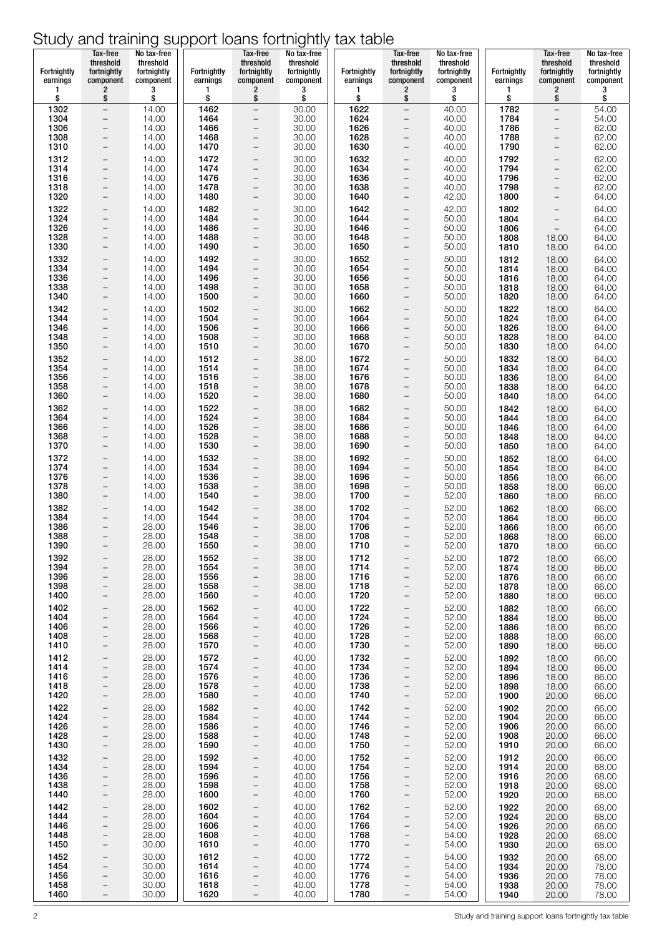|                         | Tax-free<br>threshold                                | No tax-free<br>threshold |                         | Tax-free<br>threshold                                | No tax-free<br>threshold |                         | Tax-free<br>threshold                                | No tax-free<br>threshold |                         | Tax-free<br>threshold                  | No tax-free<br>threshold |
|-------------------------|------------------------------------------------------|--------------------------|-------------------------|------------------------------------------------------|--------------------------|-------------------------|------------------------------------------------------|--------------------------|-------------------------|----------------------------------------|--------------------------|
| Fortnightly<br>earnings | fortnightly<br>component                             | fortnightly<br>component | Fortnightly<br>earnings | fortnightly<br>component                             | fortnightly<br>component | Fortnightly<br>earnings | fortnightly<br>component                             | fortnightly<br>component | Fortnightly<br>earnings | fortnightly<br>component               | fortnightly<br>component |
| 1                       | $\overline{\mathbf{c}}$                              | 3                        | 1                       | 2                                                    | 3                        | 1                       | 2                                                    | 3                        | 1                       | 2                                      | 3                        |
| \$<br>1302              | \$<br>$\qquad \qquad -$                              | \$<br>14.00              | \$<br>1462              | \$<br>$\overline{\phantom{a}}$                       | \$<br>30.00              | \$<br>1622              | \$<br>$\overline{\phantom{0}}$                       | \$<br>40.00              | \$<br>1782              | \$<br>$\overline{\phantom{0}}$         | \$<br>54.00              |
| 1304                    | $\qquad \qquad -$                                    | 14.00                    | 1464                    | $\overline{\phantom{0}}$                             | 30.00                    | 1624                    | $\overline{a}$                                       | 40.00                    | 1784<br>1786            | $\qquad \qquad -$                      | 54.00                    |
| 1306<br>1308            | $\overline{\phantom{a}}$<br>$\overline{\phantom{a}}$ | 14.00<br>14.00           | 1466<br>1468            | $\overline{\phantom{m}}$                             | 30.00<br>30.00           | 1626<br>1628            | $\qquad \qquad -$<br>$\qquad \qquad -$               | 40.00<br>40.00           | 1788                    | $\qquad \qquad -$<br>$\qquad \qquad -$ | 62.00<br>62.00           |
| 1310                    | $\qquad \qquad -$                                    | 14.00                    | 1470                    | $\overline{\phantom{m}}$                             | 30.00                    | 1630                    | $\overline{\phantom{a}}$                             | 40.00                    | 1790                    | $\overline{\phantom{0}}$               | 62.00                    |
| 1312<br>1314            | $\overline{\phantom{0}}$<br>$\qquad \qquad -$        | 14.00<br>14.00           | 1472<br>1474            | $\overline{\phantom{a}}$                             | 30.00<br>30.00           | 1632<br>1634            | $\overline{\phantom{0}}$<br>$\overline{\phantom{0}}$ | 40.00<br>40.00           | 1792<br>1794            | -<br>$\qquad \qquad -$                 | 62.00<br>62.00           |
| 1316<br>1318            | $\qquad \qquad -$<br>$\overline{\phantom{a}}$        | 14.00<br>14.00           | 1476<br>1478            | $\qquad \qquad -$<br>$\overline{\phantom{m}}$        | 30.00<br>30.00           | 1636<br>1638            | $\overline{\phantom{0}}$<br>$\qquad \qquad -$        | 40.00<br>40.00           | 1796<br>1798            | $\qquad \qquad -$<br>-                 | 62.00<br>62.00           |
| 1320                    | $\overline{\phantom{a}}$                             | 14.00                    | 1480                    | $\overline{\phantom{m}}$                             | 30.00                    | 1640                    | $\overline{\phantom{0}}$                             | 42.00                    | 1800                    | $\overline{\phantom{a}}$               | 64.00                    |
| 1322<br>1324            | -<br>$\overline{\phantom{0}}$                        | 14.00<br>14.00           | 1482<br>1484            | $\qquad \qquad -$                                    | 30.00<br>30.00           | 1642<br>1644            | $\overline{\phantom{0}}$<br>$\qquad \qquad -$        | 42.00<br>50.00           | 1802<br>1804            | -                                      | 64.00<br>64.00           |
| 1326                    | $\overline{\phantom{a}}$                             | 14.00                    | 1486                    | $\overline{\phantom{m}}$                             | 30.00                    | 1646                    | $\overline{\phantom{0}}$                             | 50.00                    | 1806                    | $\qquad \qquad -$<br>$\equiv$          | 64.00                    |
| 1328<br>1330            | $\overline{\phantom{a}}$<br>$\overline{\phantom{a}}$ | 14.00<br>14.00           | 1488<br>1490            | $\overline{\phantom{m}}$<br>$\qquad \qquad -$        | 30.00<br>30.00           | 1648<br>1650            | $\overline{\phantom{0}}$<br>$\overline{\phantom{0}}$ | 50.00<br>50.00           | 1808<br>1810            | 18.00<br>18.00                         | 64.00<br>64.00           |
| 1332                    | $\overline{\phantom{a}}$                             | 14.00                    | 1492                    | $\qquad \qquad -$                                    | 30.00                    | 1652                    | $\overline{\phantom{0}}$                             | 50.00                    | 1812                    | 18.00                                  | 64.00                    |
| 1334<br>1336            | $\overline{\phantom{a}}$<br>$\overline{\phantom{0}}$ | 14.00<br>14.00           | 1494<br>1496            | $\overline{\phantom{m}}$                             | 30.00<br>30.00           | 1654<br>1656            | $\overline{\phantom{0}}$<br>$\qquad \qquad -$        | 50.00<br>50.00           | 1814<br>1816            | 18.00<br>18.00                         | 64.00<br>64.00           |
| 1338                    | $\qquad \qquad -$                                    | 14.00                    | 1498                    | $\overline{\phantom{m}}$                             | 30.00                    | 1658                    | $\overline{\phantom{0}}$                             | 50.00                    | 1818                    | 18.00                                  | 64.00                    |
| 1340<br>1342            | $\overline{\phantom{a}}$<br>$\qquad \qquad -$        | 14.00<br>14.00           | 1500<br>1502            | $\overline{\phantom{m}}$<br>$\qquad \qquad -$        | 30.00<br>30.00           | 1660<br>1662            | $\overline{\phantom{0}}$<br>$\overline{\phantom{0}}$ | 50.00<br>50.00           | 1820<br>1822            | 18.00<br>18.00                         | 64.00<br>64.00           |
| 1344                    | $\qquad \qquad -$                                    | 14.00                    | 1504                    | $\qquad \qquad -$                                    | 30.00                    | 1664                    | $\qquad \qquad -$                                    | 50.00                    | 1824                    | 18.00                                  | 64.00                    |
| 1346<br>1348            | $\overline{\phantom{a}}$<br>$\qquad \qquad -$        | 14.00<br>14.00           | 1506<br>1508            | $\overline{\phantom{a}}$<br>$\overline{\phantom{m}}$ | 30.00<br>30.00           | 1666<br>1668            | $\qquad \qquad -$<br>$\qquad \qquad -$               | 50.00<br>50.00           | 1826<br>1828            | 18.00<br>18.00                         | 64.00<br>64.00           |
| 1350                    | $\overline{\phantom{a}}$                             | 14.00                    | 1510                    | $\qquad \qquad -$                                    | 30.00                    | 1670                    | $\overline{\phantom{0}}$                             | 50.00                    | 1830                    | 18.00                                  | 64.00                    |
| 1352<br>1354            | $\overline{\phantom{a}}$<br>$\overline{\phantom{a}}$ | 14.00<br>14.00           | 1512<br>1514            | $\qquad \qquad -$<br>$\overline{\phantom{m}}$        | 38.00<br>38.00           | 1672<br>1674            | $\overline{\phantom{0}}$<br>$\overline{\phantom{0}}$ | 50.00<br>50.00           | 1832<br>1834            | 18.00<br>18.00                         | 64.00<br>64.00           |
| 1356<br>1358            | $\overline{\phantom{a}}$                             | 14.00<br>14.00           | 1516<br>1518            | $\qquad \qquad -$                                    | 38.00                    | 1676<br>1678            | $\overline{\phantom{0}}$                             | 50.00<br>50.00           | 1836                    | 18.00                                  | 64.00                    |
| 1360                    | $\overline{\phantom{a}}$<br>$\overline{\phantom{0}}$ | 14.00                    | 1520                    | $\overline{\phantom{m}}$<br>$\overline{\phantom{a}}$ | 38.00<br>38.00           | 1680                    | $\qquad \qquad -$<br>$\qquad \qquad -$               | 50.00                    | 1838<br>1840            | 18.00<br>18.00                         | 64.00<br>64.00           |
| 1362                    | $\overline{\phantom{a}}$                             | 14.00                    | 1522                    |                                                      | 38.00                    | 1682                    | $\qquad \qquad -$                                    | 50.00                    | 1842                    | 18.00                                  | 64.00                    |
| 1364<br>1366            | $\qquad \qquad -$<br>$\qquad \qquad -$               | 14.00<br>14.00           | 1524<br>1526            | $\qquad \qquad -$<br>$\overline{\phantom{m}}$        | 38.00<br>38.00           | 1684<br>1686            | $\qquad \qquad -$<br>$\qquad \qquad -$               | 50.00<br>50.00           | 1844<br>1846            | 18.00<br>18.00                         | 64.00<br>64.00           |
| 1368<br>1370            | $\overline{\phantom{a}}$<br>$\overline{\phantom{0}}$ | 14.00<br>14.00           | 1528<br>1530            | $\overline{\phantom{m}}$<br>$\overline{\phantom{a}}$ | 38.00<br>38.00           | 1688<br>1690            | $\qquad \qquad -$<br>$\qquad \qquad -$               | 50.00<br>50.00           | 1848<br>1850            | 18.00<br>18.00                         | 64.00<br>64.00           |
| 1372                    | $\overline{\phantom{0}}$                             | 14.00                    | 1532                    |                                                      | 38.00                    | 1692                    | $\qquad \qquad -$                                    | 50.00                    | 1852                    | 18.00                                  | 64.00                    |
| 1374<br>1376            | $\overline{\phantom{0}}$<br>$\qquad \qquad -$        | 14.00<br>14.00           | 1534<br>1536            | $\qquad \qquad -$<br>$\overline{\phantom{m}}$        | 38.00<br>38.00           | 1694<br>1696            | $\qquad \qquad -$<br>$\qquad \qquad -$               | 50.00<br>50.00           | 1854<br>1856            | 18.00<br>18.00                         | 64.00<br>66.00           |
| 1378                    | $\overline{\phantom{a}}$                             | 14.00                    | 1538                    | $\overline{\phantom{m}}$                             | 38.00                    | 1698                    | $\overline{\phantom{a}}$                             | 50.00                    | 1858                    | 18.00                                  | 66.00                    |
| 1380<br>1382            | $\qquad \qquad -$<br>$\overline{\phantom{0}}$        | 14.00<br>14.00           | 1540<br>1542            | $\qquad \qquad -$<br>$\qquad \qquad -$               | 38.00<br>38.00           | 1700<br>1702            | $\overline{\phantom{a}}$<br>$\overline{\phantom{a}}$ | 52.00<br>52.00           | 1860<br>1862            | 18.00<br>18.00                         | 66.00<br>66.00           |
| 1384                    | $\overline{\phantom{0}}$                             | 14.00                    | 1544                    |                                                      | 38.00                    | 1704                    | $\overline{\phantom{a}}$                             | 52.00                    | 1864                    | 18.00                                  | 66.00                    |
| 1386<br>1388            | $\overline{\phantom{m}}$<br>$\qquad \qquad -$        | 28.00<br>28.00           | 1546<br>1548            | $\qquad \qquad -$<br>$\overline{\phantom{m}}$        | 38.00<br>38.00           | 1706<br>1708            | $\overline{\phantom{a}}$<br>$\qquad \qquad -$        | 52.00<br>52.00           | 1866<br>1868            | 18.00<br>18.00                         | 66.00<br>66.00           |
| 1390                    |                                                      | 28.00                    | 1550                    |                                                      | 38.00                    | 1710                    |                                                      | 52.00                    | 1870                    | 18.00                                  | 66.00                    |
| 1392<br>1394            | $\qquad \qquad -$<br>-                               | 28.00<br>28.00           | 1552<br>1554            | $\qquad \qquad -$<br>$\qquad \qquad -$               | 38.00<br>38.00           | 1712<br>1714            | $\qquad \qquad -$<br>$\qquad \qquad -$               | 52.00<br>52.00           | 1872<br>1874            | 18.00<br>18.00                         | 66.00<br>66.00           |
| 1396<br>1398            | -<br>-                                               | 28.00<br>28.00           | 1556<br>1558            | $\overline{\phantom{m}}$<br>-                        | 38.00<br>38.00           | 1716<br>1718            | -<br>$\qquad \qquad -$                               | 52.00<br>52.00           | 1876<br>1878            | 18.00<br>18.00                         | 66.00<br>66.00           |
| 1400                    | -                                                    | 28.00                    | 1560                    | $\qquad \qquad -$                                    | 40.00                    | 1720                    | $\qquad \qquad -$                                    | 52.00                    | 1880                    | 18.00                                  | 66.00                    |
| 1402<br>1404            | $\overline{\phantom{0}}$<br>$\qquad \qquad -$        | 28.00<br>28.00           | 1562<br>1564            | $\qquad \qquad -$<br>$\overline{\phantom{a}}$        | 40.00<br>40.00           | 1722<br>1724            | $\qquad \qquad -$<br>$\qquad \qquad -$               | 52.00<br>52.00           | 1882<br>1884            | 18.00<br>18.00                         | 66.00<br>66.00           |
| 1406                    | -                                                    | 28.00                    | 1566                    | $\overline{\phantom{m}}$                             | 40.00                    | 1726                    | $\overline{\phantom{a}}$                             | 52.00                    | 1886                    | 18.00                                  | 66.00                    |
| 1408<br>1410            | -<br>-                                               | 28.00<br>28.00           | 1568<br>1570            | $\overline{\phantom{m}}$<br>$\qquad \qquad -$        | 40.00<br>40.00           | 1728<br>1730            | $\qquad \qquad -$<br>$\overline{\phantom{a}}$        | 52.00<br>52.00           | 1888<br>1890            | 18.00<br>18.00                         | 66.00<br>66.00           |
| 1412                    | $\overline{\phantom{0}}$                             | 28.00                    | 1572                    | $\qquad \qquad -$                                    | 40.00                    | 1732                    | $\overline{\phantom{a}}$                             | 52.00                    | 1892                    | 18.00                                  | 66.00                    |
| 1414<br>1416            | -<br>$\qquad \qquad -$                               | 28.00<br>28.00           | 1574<br>1576            | $\overline{\phantom{a}}$<br>$\overline{\phantom{m}}$ | 40.00<br>40.00           | 1734<br>1736            | $\overline{\phantom{a}}$<br>$\overline{\phantom{a}}$ | 52.00<br>52.00           | 1894<br>1896            | 18.00<br>18.00                         | 66.00<br>66.00           |
| 1418<br>1420            | -<br>$\overline{\phantom{0}}$                        | 28.00<br>28.00           | 1578<br>1580            | $\overline{\phantom{a}}$<br>$\qquad \qquad -$        | 40.00<br>40.00           | 1738<br>1740            | $\qquad \qquad -$<br>$\qquad \qquad -$               | 52.00<br>52.00           | 1898<br>1900            | 18.00<br>20.00                         | 66.00<br>66.00           |
| 1422                    | $\overline{\phantom{0}}$                             | 28.00                    | 1582                    |                                                      | 40.00                    | 1742                    | $\overline{\phantom{a}}$                             | 52.00                    | 1902                    | 20.00                                  | 66.00                    |
| 1424<br>1426            | $\qquad \qquad -$                                    | 28.00                    | 1584<br>1586            | $\overline{\phantom{m}}$                             | 40.00                    | 1744<br>1746            | $\overline{\phantom{a}}$                             | 52.00<br>52.00           | 1904                    | 20.00                                  | 66.00                    |
| 1428                    | -<br>-                                               | 28.00<br>28.00           | 1588                    | $\qquad \qquad -$<br>$\qquad \qquad -$               | 40.00<br>40.00           | 1748                    | $\overline{\phantom{a}}$<br>$\qquad \qquad -$        | 52.00                    | 1906<br>1908            | 20.00<br>20.00                         | 66.00<br>66.00           |
| 1430<br>1432            | $\overline{\phantom{0}}$                             | 28.00<br>28.00           | 1590<br>1592            | $\qquad \qquad -$                                    | 40.00<br>40.00           | 1750<br>1752            | $\overline{\phantom{a}}$                             | 52.00<br>52.00           | 1910                    | 20.00                                  | 66.00                    |
| 1434                    | $\qquad \qquad -$<br>-                               | 28.00                    | 1594                    | $\qquad \qquad -$<br>$\overline{\phantom{m}}$        | 40.00                    | 1754                    | $\overline{\phantom{a}}$<br>$\overline{\phantom{a}}$ | 52.00                    | 1912<br>1914            | 20.00<br>20.00                         | 66.00<br>68.00           |
| 1436<br>1438            | -<br>-                                               | 28.00<br>28.00           | 1596<br>1598            | $\qquad \qquad -$<br>$\qquad \qquad -$               | 40.00<br>40.00           | 1756<br>1758            | $\qquad \qquad -$<br>$\qquad \qquad -$               | 52.00<br>52.00           | 1916<br>1918            | 20.00<br>20.00                         | 68.00<br>68.00           |
| 1440                    | $\overline{\phantom{0}}$                             | 28.00                    | 1600                    | $\qquad \qquad -$                                    | 40.00                    | 1760                    | $\overline{\phantom{a}}$                             | 52.00                    | 1920                    | 20.00                                  | 68.00                    |
| 1442<br>1444            | -<br>$\qquad \qquad -$                               | 28.00<br>28.00           | 1602<br>1604            | $\overline{\phantom{a}}$<br>$\overline{\phantom{m}}$ | 40.00<br>40.00           | 1762<br>1764            | $\overline{\phantom{a}}$<br>$\qquad \qquad -$        | 52.00<br>52.00           | 1922<br>1924            | 20.00<br>20.00                         | 68.00<br>68.00           |
| 1446                    | -                                                    | 28.00                    | 1606                    | $\overline{\phantom{a}}$                             | 40.00                    | 1766                    | $\overline{\phantom{a}}$                             | 54.00                    | 1926                    | 20.00                                  | 68.00                    |
| 1448<br>1450            | $\overline{\phantom{0}}$<br>$\overline{\phantom{0}}$ | 28.00<br>30.00           | 1608<br>1610            | $\overline{\phantom{a}}$<br>$\qquad \qquad -$        | 40.00<br>40.00           | 1768<br>1770            | $\qquad \qquad -$<br>$\overline{\phantom{0}}$        | 54.00<br>54.00           | 1928<br>1930            | 20.00<br>20.00                         | 68.00<br>68.00           |
| 1452                    | $\qquad \qquad -$                                    | 30.00                    | 1612                    | $\overline{\phantom{a}}$                             | 40.00                    | 1772                    | $\qquad \qquad -$                                    | 54.00                    | 1932                    | 20.00                                  | 68.00                    |
| 1454<br>1456            | -<br>-                                               | 30.00<br>30.00           | 1614<br>1616            | $\qquad \qquad -$<br>$\qquad \qquad -$               | 40.00<br>40.00           | 1774<br>1776            | $\overline{\phantom{a}}$<br>$\qquad \qquad -$        | 54.00<br>54.00           | 1934<br>1936            | 20.00<br>20.00                         | 78.00<br>78.00           |
| 1458<br>1460            | -<br>$\overline{\phantom{0}}$                        | 30.00<br>30.00           | 1618<br>1620            | $\qquad \qquad -$                                    | 40.00<br>40.00           | 1778<br>1780            | $\qquad \qquad -$                                    | 54.00<br>54.00           | 1938<br>1940            | 20.00<br>20.00                         | 78.00<br>78.00           |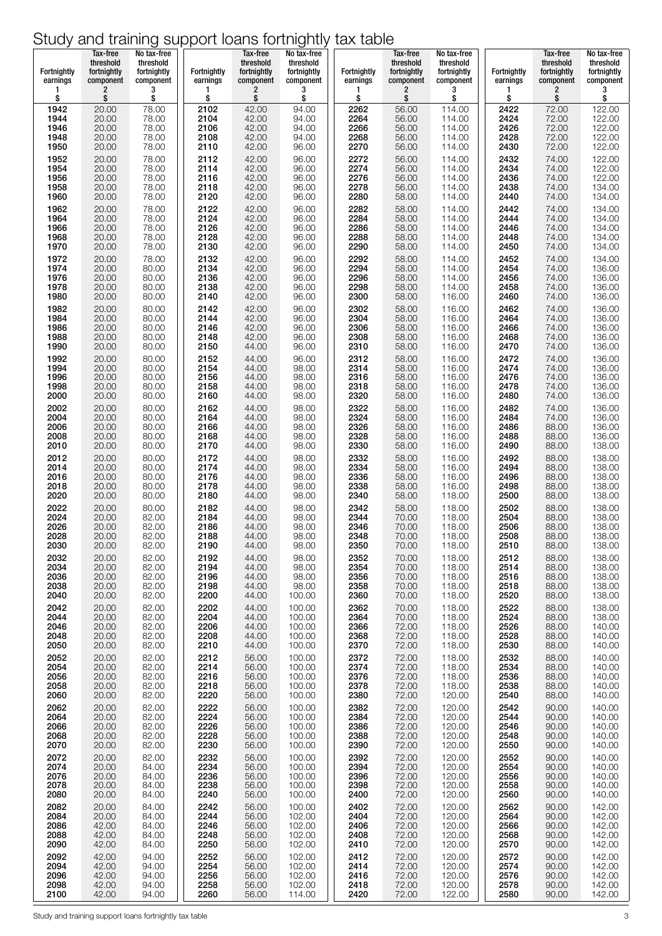| <b>Fortnightly</b><br>earnings | Tax-free<br>threshold<br>fortnightly<br>component | No tax-free<br>threshold<br>fortnightly<br>component | Fortnightly<br>earnings | Tax-free<br>threshold<br>fortnightly<br>component | No tax-free<br>threshold<br>fortnightly<br>component | <b>Fortnightly</b><br>earnings | Tax-free<br>threshold<br>fortnightly<br>component | No tax-free<br>threshold<br>fortnightly<br>component | Fortnightly<br>earnings | Tax-free<br>threshold<br>fortnightly<br>component | No tax-free<br>threshold<br>fortnightly<br>component |
|--------------------------------|---------------------------------------------------|------------------------------------------------------|-------------------------|---------------------------------------------------|------------------------------------------------------|--------------------------------|---------------------------------------------------|------------------------------------------------------|-------------------------|---------------------------------------------------|------------------------------------------------------|
| 1                              | 2                                                 | 3                                                    | 1                       | 2                                                 | 3                                                    | 1                              | $\overline{\mathbf{c}}$                           | 3                                                    | 1                       | $\overline{\mathbf{c}}$                           | 3                                                    |
| \$                             | \$                                                | \$                                                   | \$                      | \$                                                | \$                                                   | \$                             | \$                                                | \$                                                   | \$                      | \$                                                | \$                                                   |
| 1942                           | 20.00                                             | 78.00                                                | 2102                    | 42.00                                             | 94.00                                                | 2262                           | 56.00                                             | 114.00                                               | 2422                    | 72.00                                             | 122.00                                               |
| 1944                           | 20.00                                             | 78.00                                                | 2104                    | 42.00                                             | 94.00                                                | 2264                           | 56.00                                             | 114.00                                               | 2424                    | 72.00                                             | 122.00                                               |
| 1946<br>1948                   | 20.00                                             | 78.00                                                | 2106                    | 42.00                                             | 94.00                                                | 2266<br>2268                   | 56.00                                             | 114.00                                               | 2426<br>2428            | 72.00                                             | 122.00<br>122.00                                     |
| 1950                           | 20.00<br>20.00                                    | 78.00<br>78.00                                       | 2108<br>2110            | 42.00<br>42.00                                    | 94.00<br>96.00                                       | 2270                           | 56.00<br>56.00                                    | 114.00<br>114.00                                     | 2430                    | 72.00<br>72.00                                    | 122.00                                               |
| 1952                           | 20.00                                             | 78.00                                                | 2112                    | 42.00                                             | 96.00                                                | 2272                           | 56.00                                             | 114.00                                               | 2432                    | 74.00                                             | 122.00                                               |
| 1954                           | 20.00                                             | 78.00                                                | 2114                    | 42.00                                             | 96.00                                                | 2274                           | 56.00                                             | 114.00                                               | 2434                    | 74.00                                             | 122.00                                               |
| 1956                           | 20.00                                             | 78.00                                                | 2116                    | 42.00                                             | 96.00                                                | 2276                           | 56.00                                             | 114.00                                               | 2436                    | 74.00                                             | 122.00                                               |
| 1958                           | 20.00                                             | 78.00                                                | 2118                    | 42.00                                             | 96.00                                                | 2278                           | 56.00                                             | 114.00                                               | 2438                    | 74.00                                             | 134.00                                               |
| 1960                           | 20.00                                             | 78.00                                                | 2120                    | 42.00                                             | 96.00                                                | 2280                           | 58.00                                             | 114.00                                               | 2440                    | 74.00                                             | 134.00                                               |
| 1962                           | 20.00                                             | 78.00                                                | 2122                    | 42.00                                             | 96.00                                                | 2282                           | 58.00                                             | 114.00                                               | 2442                    | 74.00                                             | 134.00                                               |
| 1964                           | 20.00                                             | 78.00                                                | 2124                    | 42.00                                             | 96.00                                                | 2284                           | 58.00                                             | 114.00                                               | 2444                    | 74.00                                             | 134.00                                               |
| 1966                           | 20.00                                             | 78.00                                                | 2126<br>2128            | 42.00                                             | 96.00                                                | 2286<br>2288                   | 58.00                                             | 114.00                                               | 2446                    | 74.00                                             | 134.00<br>134.00                                     |
| 1968<br>1970                   | 20.00<br>20.00                                    | 78.00<br>78.00                                       | 2130                    | 42.00<br>42.00                                    | 96.00<br>96.00                                       | 2290                           | 58.00<br>58.00                                    | 114.00<br>114.00                                     | 2448<br>2450            | 74.00<br>74.00                                    | 134.00                                               |
| 1972                           | 20.00                                             | 78.00                                                | 2132                    | 42.00                                             | 96.00                                                | 2292                           | 58.00                                             | 114.00                                               | 2452                    | 74.00                                             | 134.00                                               |
| 1974                           | 20.00                                             | 80.00                                                | 2134                    | 42.00                                             | 96.00                                                | 2294                           | 58.00                                             | 114.00                                               | 2454                    | 74.00                                             | 136.00                                               |
| 1976                           | 20.00                                             | 80.00                                                | 2136                    | 42.00                                             | 96.00                                                | 2296                           | 58.00                                             | 114.00                                               | 2456                    | 74.00                                             | 136.00                                               |
| 1978                           | 20.00                                             | 80.00                                                | 2138                    | 42.00                                             | 96.00                                                | 2298                           | 58.00                                             | 114.00                                               | 2458                    | 74.00                                             | 136.00                                               |
| 1980                           | 20.00                                             | 80.00                                                | 2140                    | 42.00                                             | 96.00                                                | 2300                           | 58.00                                             | 116.00                                               | 2460                    | 74.00                                             | 136.00                                               |
| 1982                           | 20.00                                             | 80.00                                                | 2142                    | 42.00                                             | 96.00                                                | 2302                           | 58.00                                             | 116.00                                               | 2462                    | 74.00                                             | 136.00                                               |
| 1984                           | 20.00                                             | 80.00                                                | 2144                    | 42.00                                             | 96.00                                                | 2304                           | 58.00                                             | 116.00                                               | 2464                    | 74.00                                             | 136.00                                               |
| 1986                           | 20.00                                             | 80.00                                                | 2146                    | 42.00                                             | 96.00                                                | 2306                           | 58.00                                             | 116.00                                               | 2466                    | 74.00                                             | 136.00                                               |
| 1988                           | 20.00                                             | 80.00                                                | 2148                    | 42.00                                             | 96.00                                                | 2308                           | 58.00                                             | 116.00                                               | 2468                    | 74.00                                             | 136.00                                               |
| 1990                           | 20.00                                             | 80.00                                                | 2150                    | 44.00                                             | 96.00                                                | 2310                           | 58.00                                             | 116.00                                               | 2470                    | 74.00                                             | 136.00                                               |
| 1992                           | 20.00                                             | 80.00                                                | 2152                    | 44.00                                             | 96.00                                                | 2312                           | 58.00                                             | 116.00                                               | 2472                    | 74.00                                             | 136.00                                               |
| 1994                           | 20.00                                             | 80.00                                                | 2154                    | 44.00                                             | 98.00                                                | 2314                           | 58.00                                             | 116.00                                               | 2474                    | 74.00                                             | 136.00                                               |
| 1996                           | 20.00                                             | 80.00                                                | 2156                    | 44.00                                             | 98.00                                                | 2316                           | 58.00                                             | 116.00                                               | 2476                    | 74.00                                             | 136.00                                               |
| 1998                           | 20.00                                             | 80.00                                                | 2158                    | 44.00                                             | 98.00                                                | 2318                           | 58.00                                             | 116.00                                               | 2478                    | 74.00                                             | 136.00                                               |
| 2000                           | 20.00                                             | 80.00                                                | 2160                    | 44.00                                             | 98.00                                                | 2320                           | 58.00                                             | 116.00                                               | 2480                    | 74.00                                             | 136.00                                               |
| 2002                           | 20.00                                             | 80.00                                                | 2162                    | 44.00                                             | 98.00                                                | 2322                           | 58.00                                             | 116.00                                               | 2482                    | 74.00                                             | 136.00                                               |
| 2004                           | 20.00                                             | 80.00                                                | 2164                    | 44.00                                             | 98.00                                                | 2324                           | 58.00                                             | 116.00                                               | 2484                    | 74.00                                             | 136.00                                               |
| 2006                           | 20.00                                             | 80.00                                                | 2166                    | 44.00                                             | 98.00                                                | 2326                           | 58.00                                             | 116.00                                               | 2486                    | 88.00                                             | 136.00                                               |
| 2008                           | 20.00                                             | 80.00                                                | 2168                    | 44.00                                             | 98.00                                                | 2328                           | 58.00                                             | 116.00                                               | 2488                    | 88.00                                             | 136.00                                               |
| 2010                           | 20.00                                             | 80.00                                                | 2170                    | 44.00                                             | 98.00                                                | 2330                           | 58.00                                             | 116.00                                               | 2490                    | 88.00                                             | 138.00                                               |
| 2012                           | 20.00                                             | 80.00                                                | 2172                    | 44.00                                             | 98.00                                                | 2332                           | 58.00                                             | 116.00                                               | 2492                    | 88.00                                             | 138.00                                               |
| 2014                           | 20.00                                             | 80.00                                                | 2174                    | 44.00                                             | 98.00                                                | 2334                           | 58.00                                             | 116.00                                               | 2494                    | 88.00                                             | 138.00                                               |
| 2016                           | 20.00                                             | 80.00                                                | 2176                    | 44.00                                             | 98.00                                                | 2336                           | 58.00                                             | 116.00                                               | 2496                    | 88.00                                             | 138.00                                               |
| 2018                           | 20.00                                             | 80.00                                                | 2178                    | 44.00                                             | 98.00                                                | 2338                           | 58.00                                             | 116.00                                               | 2498                    | 88.00                                             | 138.00                                               |
| 2020                           | 20.00                                             | 80.00                                                | 2180                    | 44.00                                             | 98.00                                                | 2340                           | 58.00                                             | 118.00                                               | 2500                    | 88.00                                             | 138.00                                               |
| 2022                           | 20.00                                             | 80.00                                                | 2182                    | 44.00                                             | 98.00                                                | 2342                           | 58.00                                             | 118.00                                               | 2502                    | 88.00                                             | 138.00                                               |
| 2024                           | 20.00                                             | 82.00                                                | 2184                    | 44.00                                             | 98.00                                                | 2344                           | 70.00                                             | 118.00                                               | 2504                    | 88.00                                             | 138.00                                               |
| 2026                           | 20.00                                             | 82.00                                                | 2186                    | 44.00                                             | 98.00                                                | 2346                           | 70.00                                             | 118.00                                               | 2506                    | 88.00                                             | 138.00                                               |
| 2028                           | 20.00                                             | 82.00                                                | 2188                    | 44.00                                             | 98.00                                                | 2348                           | 70.00                                             | 118.00                                               | 2508                    | 88.00                                             | 138.00                                               |
| 2030                           | 20.00                                             | 82.00                                                | 2190                    | 44.00                                             | 98.00                                                | 2350                           | 70.00                                             | 118.00                                               | 2510                    | 88.00                                             | 138.00                                               |
| 2032                           | 20.00                                             | 82.00                                                | 2192                    | 44.00                                             | 98.00                                                | 2352                           | 70.00                                             | 118.00                                               | 2512                    | 88.00                                             | 138.00                                               |
| 2034                           | 20.00                                             | 82.00                                                | 2194                    | 44.00                                             | 98.00                                                | 2354                           | 70.00                                             | 118.00                                               | 2514                    | 88.00                                             | 138.00                                               |
| 2036                           | 20.00                                             | 82.00                                                | 2196                    | 44.00                                             | 98.00                                                | 2356                           | 70.00                                             | 118.00                                               | 2516                    | 88.00                                             | 138.00                                               |
| 2038                           | 20.00                                             | 82.00                                                | 2198                    | 44.00                                             | 98.00                                                | 2358                           | 70.00                                             | 118.00                                               | 2518                    | 88.00                                             | 138.00                                               |
| 2040                           | 20.00                                             | 82.00                                                | 2200                    | 44.00                                             | 100.00                                               | 2360                           | 70.00                                             | 118.00                                               | 2520                    | 88.00                                             | 138.00                                               |
| 2042                           | 20.00                                             | 82.00                                                | 2202                    | 44.00                                             | 100.00                                               | 2362                           | 70.00                                             | 118.00                                               | 2522                    | 88.00                                             | 138.00                                               |
| 2044                           | 20.00                                             | 82.00                                                | 2204                    | 44.00                                             | 100.00                                               | 2364                           | 70.00                                             | 118.00                                               | 2524                    | 88.00                                             | 138.00                                               |
| 2046                           | 20.00                                             | 82.00                                                | 2206                    | 44.00                                             | 100.00                                               | 2366                           | 72.00                                             | 118.00                                               | 2526                    | 88.00                                             | 140.00                                               |
| 2048                           | 20.00                                             | 82.00                                                | 2208                    | 44.00                                             | 100.00                                               | 2368                           | 72.00                                             | 118.00                                               | 2528                    | 88.00                                             | 140.00                                               |
| 2050                           | 20.00                                             | 82.00                                                | 2210                    | 44.00                                             | 100.00                                               | 2370                           | 72.00                                             | 118.00                                               | 2530                    | 88.00                                             | 140.00                                               |
| 2052                           | 20.00                                             | 82.00                                                | 2212                    | 56.00                                             | 100.00                                               | 2372                           | 72.00                                             | 118.00                                               | 2532                    | 88.00                                             | 140.00                                               |
| 2054                           | 20.00                                             | 82.00                                                | 2214                    | 56.00                                             | 100.00                                               | 2374                           | 72.00                                             | 118.00                                               | 2534                    | 88.00                                             | 140.00                                               |
| 2056                           | 20.00                                             | 82.00                                                | 2216                    | 56.00                                             | 100.00                                               | 2376                           | 72.00                                             | 118.00                                               | 2536                    | 88.00                                             | 140.00                                               |
| 2058                           | 20.00                                             | 82.00                                                | 2218                    | 56.00                                             | 100.00                                               | 2378                           | 72.00                                             | 118.00                                               | 2538                    | 88.00                                             | 140.00                                               |
| 2060                           | 20.00                                             | 82.00                                                | 2220                    | 56.00                                             | 100.00                                               | 2380                           | 72.00                                             | 120.00                                               | 2540                    | 88.00                                             | 140.00                                               |
| 2062                           | 20.00                                             | 82.00                                                | 2222                    | 56.00                                             | 100.00                                               | 2382                           | 72.00                                             | 120.00                                               | 2542                    | 90.00                                             | 140.00                                               |
| 2064                           | 20.00                                             | 82.00                                                | 2224                    | 56.00                                             | 100.00                                               | 2384                           | 72.00                                             | 120.00                                               | 2544                    | 90.00                                             | 140.00                                               |
| 2066                           | 20.00                                             | 82.00                                                | 2226                    | 56.00                                             | 100.00                                               | 2386                           | 72.00                                             | 120.00                                               | 2546                    | 90.00                                             | 140.00                                               |
| 2068                           | 20.00                                             | 82.00                                                | 2228                    | 56.00                                             | 100.00                                               | 2388                           | 72.00                                             | 120.00                                               | 2548                    | 90.00                                             | 140.00                                               |
| 2070                           | 20.00                                             | 82.00                                                | 2230                    | 56.00                                             | 100.00                                               | 2390                           | 72.00                                             | 120.00                                               | 2550                    | 90.00                                             | 140.00                                               |
| 2072                           | 20.00                                             | 82.00                                                | 2232                    | 56.00                                             | 100.00                                               | 2392                           | 72.00                                             | 120.00                                               | 2552                    | 90.00                                             | 140.00                                               |
| 2074                           | 20.00                                             | 84.00                                                | 2234                    | 56.00                                             | 100.00                                               | 2394                           | 72.00                                             | 120.00                                               | 2554                    | 90.00                                             | 140.00                                               |
| 2076                           | 20.00                                             | 84.00                                                | 2236                    | 56.00                                             | 100.00                                               | 2396                           | 72.00                                             | 120.00                                               | 2556                    | 90.00                                             | 140.00                                               |
| 2078                           | 20.00                                             | 84.00                                                | 2238                    | 56.00                                             | 100.00                                               | 2398                           | 72.00                                             | 120.00                                               | 2558                    | 90.00                                             | 140.00                                               |
| 2080                           | 20.00                                             | 84.00                                                | 2240                    | 56.00                                             | 100.00                                               | 2400                           | 72.00                                             | 120.00                                               | 2560                    | 90.00                                             | 140.00                                               |
| 2082                           | 20.00                                             | 84.00                                                | 2242                    | 56.00                                             | 100.00                                               | 2402                           | 72.00                                             | 120.00                                               | 2562                    | 90.00                                             | 142.00                                               |
| 2084                           | 20.00                                             | 84.00                                                | 2244                    | 56.00                                             | 102.00                                               | 2404                           | 72.00                                             | 120.00                                               | 2564                    | 90.00                                             | 142.00                                               |
| 2086                           | 42.00                                             | 84.00                                                | 2246                    | 56.00                                             | 102.00                                               | 2406                           | 72.00                                             | 120.00                                               | 2566                    | 90.00                                             | 142.00                                               |
| 2088                           | 42.00                                             | 84.00                                                | 2248                    | 56.00                                             | 102.00                                               | 2408                           | 72.00                                             | 120.00                                               | 2568                    | 90.00                                             | 142.00                                               |
| 2090                           | 42.00                                             | 84.00                                                | 2250                    | 56.00                                             | 102.00                                               | 2410                           | 72.00                                             | 120.00                                               | 2570                    | 90.00                                             | 142.00                                               |
| 2092                           | 42.00                                             | 94.00                                                | 2252                    | 56.00                                             | 102.00                                               | 2412                           | 72.00                                             | 120.00                                               | 2572                    | 90.00                                             | 142.00                                               |
| 2094                           | 42.00                                             | 94.00                                                | 2254                    | 56.00                                             | 102.00                                               | 2414                           | 72.00                                             | 120.00                                               | 2574                    | 90.00                                             | 142.00                                               |
| 2096                           | 42.00                                             | 94.00                                                | 2256                    | 56.00                                             | 102.00                                               | 2416                           | 72.00                                             | 120.00                                               | 2576                    | 90.00                                             | 142.00                                               |
| 2098                           | 42.00                                             | 94.00                                                | 2258                    | 56.00                                             | 102.00                                               | 2418                           | 72.00                                             | 120.00                                               | 2578                    | 90.00                                             | 142.00                                               |
| 2100                           | 42.00                                             | 94.00                                                | 2260                    | 56.00                                             | 114.00                                               | 2420                           | 72.00                                             | 122.00                                               | 2580                    | 90.00                                             | 142.00                                               |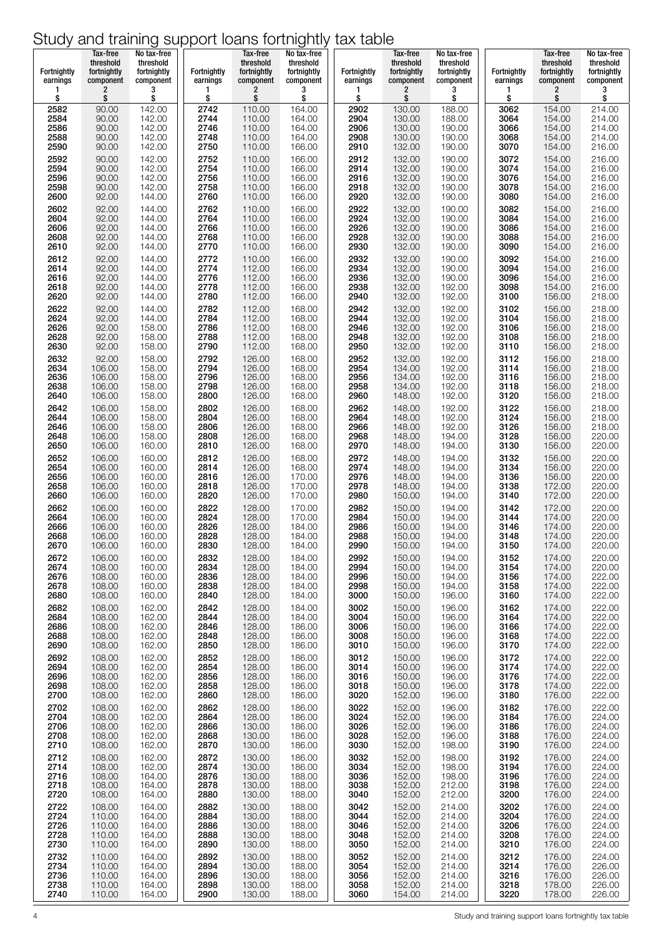| Fortnightly<br>earnings | Tax-free<br>threshold<br>fortnightly<br>component | No tax-free<br>threshold<br>fortnightly<br>component | <b>Fortnightly</b><br>earnings | Tax-free<br>threshold<br>fortnightly<br>component | No tax-free<br>threshold<br>fortnightly<br>component | <b>Fortnightly</b><br>earnings | Tax-free<br>threshold<br>fortnightly<br>component | No tax-free<br>threshold<br>fortnightly<br>component | <b>Fortnightly</b><br>earnings | Tax-free<br>threshold<br>fortnightly<br>component | No tax-free<br>threshold<br>fortnightly<br>component |
|-------------------------|---------------------------------------------------|------------------------------------------------------|--------------------------------|---------------------------------------------------|------------------------------------------------------|--------------------------------|---------------------------------------------------|------------------------------------------------------|--------------------------------|---------------------------------------------------|------------------------------------------------------|
| 1                       | 2                                                 | 3                                                    | 1                              | $\overline{c}$                                    | 3                                                    | 1                              | 2                                                 | 3                                                    | 1                              | 2                                                 | 3                                                    |
| \$                      | \$                                                | \$                                                   | \$                             | \$                                                | \$                                                   | \$                             | \$                                                | \$                                                   | \$                             | \$                                                | \$                                                   |
| 2582                    | 90.00                                             | 142.00                                               | 2742                           | 110.00                                            | 164.00                                               | 2902<br>2904                   | 130.00                                            | 188.00                                               | 3062                           | 154.00                                            | 214.00                                               |
| 2584                    | 90.00                                             | 142.00                                               | 2744                           | 110.00                                            | 164.00                                               | 2906                           | 130.00                                            | 188.00                                               | 3064                           | 154.00                                            | 214.00                                               |
| 2586                    | 90.00                                             | 142.00                                               | 2746                           | 110.00                                            | 164.00                                               |                                | 130.00                                            | 190.00                                               | 3066                           | 154.00                                            | 214.00                                               |
| 2588                    | 90.00                                             | 142.00                                               | 2748                           | 110.00                                            | 164.00                                               | 2908                           | 130.00                                            | 190.00                                               | 3068                           | 154.00                                            | 214.00                                               |
| 2590                    | 90.00                                             | 142.00                                               | 2750                           | 110.00                                            | 166.00                                               | 2910                           | 132.00                                            | 190.00                                               | 3070                           | 154.00                                            | 216.00                                               |
| 2592                    | 90.00                                             | 142.00                                               | 2752                           | 110.00                                            | 166.00                                               | 2912<br>2914                   | 132.00                                            | 190.00                                               | 3072                           | 154.00                                            | 216.00                                               |
| 2594                    | 90.00                                             | 142.00                                               | 2754                           | 110.00                                            | 166.00                                               | 2916                           | 132.00                                            | 190.00                                               | 3074                           | 154.00                                            | 216.00                                               |
| 2596                    | 90.00                                             | 142.00                                               | 2756                           | 110.00                                            | 166.00                                               |                                | 132.00                                            | 190.00                                               | 3076                           | 154.00                                            | 216.00                                               |
| 2598                    | 90.00                                             | 142.00                                               | 2758                           | 110.00                                            | 166.00                                               | 2918                           | 132.00                                            | 190.00                                               | 3078                           | 154.00                                            | 216.00                                               |
| 2600                    | 92.00                                             | 144.00                                               | 2760                           | 110.00                                            | 166.00                                               | 2920                           | 132.00                                            | 190.00                                               | 3080                           | 154.00                                            | 216.00                                               |
| 2602                    | 92.00                                             | 144.00                                               | 2762                           | 110.00                                            | 166.00                                               | 2922                           | 132.00                                            | 190.00                                               | 3082                           | 154.00                                            | 216.00                                               |
| 2604                    | 92.00                                             | 144.00                                               | 2764                           | 110.00                                            | 166.00                                               | 2924                           | 132.00                                            | 190.00                                               | 3084                           | 154.00                                            | 216.00                                               |
| 2606                    | 92.00                                             | 144.00                                               | 2766                           | 110.00                                            | 166.00                                               | 2926                           | 132.00                                            | 190.00                                               | 3086                           | 154.00                                            | 216.00                                               |
| 2608                    | 92.00                                             | 144.00                                               | 2768                           | 110.00                                            | 166.00                                               | 2928                           | 132.00                                            | 190.00                                               | 3088                           | 154.00                                            | 216.00                                               |
| 2610                    | 92.00                                             | 144.00                                               | 2770                           | 110.00                                            | 166.00                                               | 2930                           | 132.00                                            | 190.00                                               | 3090                           | 154.00                                            | 216.00                                               |
| 2612                    | 92.00                                             | 144.00                                               | 2772                           | 110.00                                            | 166.00                                               | 2932                           | 132.00                                            | 190.00                                               | 3092                           | 154.00                                            | 216.00                                               |
| 2614                    | 92.00                                             | 144.00                                               | 2774                           | 112.00                                            | 166.00                                               | 2934                           | 132.00                                            | 190.00                                               | 3094                           | 154.00                                            | 216.00                                               |
| 2616                    | 92.00                                             | 144.00                                               | 2776                           | 112.00                                            | 166.00                                               | 2936                           | 132.00                                            | 190.00                                               | 3096                           | 154.00                                            | 216.00                                               |
| 2618                    | 92.00                                             | 144.00                                               | 2778                           | 112.00                                            | 166.00                                               | 2938                           | 132.00                                            | 192.00                                               | 3098                           | 154.00                                            | 216.00                                               |
| 2620                    | 92.00                                             | 144.00                                               | 2780                           | 112.00                                            | 166.00                                               | 2940                           | 132.00                                            | 192.00                                               | 3100                           | 156.00                                            | 218.00                                               |
| 2622                    | 92.00                                             | 144.00                                               | 2782                           | 112.00                                            | 168.00                                               | 2942                           | 132.00                                            | 192.00                                               | 3102                           | 156.00                                            | 218.00                                               |
| 2624                    | 92.00                                             | 144.00                                               | 2784                           | 112.00                                            | 168.00                                               | 2944                           | 132.00                                            | 192.00                                               | 3104                           | 156.00                                            | 218.00                                               |
| 2626                    | 92.00                                             | 158.00                                               | 2786                           | 112.00                                            | 168,00                                               | 2946                           | 132.00                                            | 192.00                                               | 3106                           | 156.00                                            | 218.00                                               |
| 2628                    | 92.00                                             | 158.00                                               | 2788                           | 112.00                                            | 168.00                                               | 2948                           | 132.00                                            | 192.00                                               | 3108                           | 156.00                                            | 218.00                                               |
| 2630                    | 92.00                                             | 158.00                                               | 2790                           | 112.00                                            | 168.00                                               | 2950                           | 132.00                                            | 192.00                                               | 3110                           | 156.00                                            | 218.00                                               |
| 2632                    | 92.00                                             | 158.00                                               | 2792                           | 126.00                                            | 168.00                                               | 2952                           | 132.00                                            | 192.00                                               | 3112                           | 156.00                                            | 218.00                                               |
| 2634                    | 106.00                                            | 158.00                                               | 2794                           | 126.00                                            | 168.00                                               | 2954                           | 134.00                                            | 192.00                                               | 3114                           | 156.00                                            | 218.00                                               |
| 2636                    | 106.00                                            | 158.00                                               | 2796                           | 126.00                                            | 168.00                                               | 2956                           | 134.00                                            | 192.00                                               | 3116                           | 156.00                                            | 218.00                                               |
| 2638                    | 106.00                                            | 158.00                                               | 2798                           | 126.00                                            | 168.00                                               | 2958                           | 134.00                                            | 192.00                                               | 3118                           | 156.00                                            | 218.00                                               |
| 2640                    | 106.00                                            | 158.00                                               | 2800                           | 126.00                                            | 168.00                                               | 2960                           | 148.00                                            | 192.00                                               | 3120                           | 156.00                                            | 218.00                                               |
| 2642                    | 106.00                                            | 158.00                                               | 2802                           | 126.00                                            | 168.00                                               | 2962                           | 148.00                                            | 192.00                                               | 3122                           | 156.00                                            | 218.00                                               |
| 2644                    | 106.00                                            | 158.00                                               | 2804                           | 126.00                                            | 168.00                                               | 2964                           | 148.00                                            | 192.00                                               | 3124                           | 156.00                                            | 218.00                                               |
| 2646                    | 106.00                                            | 158.00                                               | 2806                           | 126.00                                            | 168.00                                               | 2966                           | 148.00                                            | 192.00                                               | 3126                           | 156.00                                            | 218.00                                               |
| 2648                    | 106.00                                            | 158.00                                               | 2808                           | 126.00                                            | 168.00                                               | 2968                           | 148.00                                            | 194.00                                               | 3128                           | 156.00                                            | 220.00                                               |
| 2650                    | 106.00                                            | 160.00                                               | 2810                           | 126.00                                            | 168.00                                               | 2970                           | 148.00                                            | 194.00                                               | 3130                           | 156.00                                            | 220.00                                               |
| 2652                    | 106.00                                            | 160.00                                               | 2812                           | 126.00                                            | 168.00                                               | 2972                           | 148.00                                            | 194.00                                               | 3132                           | 156.00                                            | 220.00                                               |
| 2654                    | 106.00                                            | 160.00                                               | 2814                           | 126.00                                            | 168.00                                               | 2974                           | 148.00                                            | 194.00                                               | 3134                           | 156.00                                            | 220.00                                               |
| 2656                    | 106.00                                            | 160.00                                               | 2816                           | 126.00                                            | 170.00                                               | 2976                           | 148.00                                            | 194.00                                               | 3136                           | 156.00                                            | 220.00                                               |
| 2658                    | 106.00                                            | 160.00                                               | 2818                           | 126.00                                            | 170.00                                               | 2978                           | 148.00                                            | 194.00                                               | 3138                           | 172.00                                            | 220.00                                               |
| 2660                    | 106.00                                            | 160.00                                               | 2820                           | 126.00                                            | 170.00                                               | 2980                           | 150.00                                            | 194.00                                               | 3140                           | 172.00                                            | 220.00                                               |
| 2662                    | 106.00                                            | 160.00                                               | 2822                           | 128.00                                            | 170.00                                               | 2982                           | 150.00                                            | 194.00                                               | 3142                           | 172.00                                            | 220.00                                               |
| 2664                    | 106.00                                            | 160.00                                               | 2824                           | 128.00                                            | 170.00                                               | 2984                           | 150.00                                            | 194.00                                               | 3144                           | 174.00                                            | 220.00                                               |
| 2666                    | 106.00                                            | 160.00                                               | 2826                           | 128.00                                            | 184.00                                               | 2986                           | 150.00                                            | 194.00                                               | 3146                           | 174.00                                            | 220.00                                               |
| 2668                    | 106.00                                            | 160.00                                               | 2828                           | 128.00                                            | 184.00                                               | 2988                           | 150.00                                            | 194.00                                               | 3148                           | 174.00                                            | 220.00                                               |
| 2670                    | 106.00                                            | 160.00                                               | 2830                           | 128.00                                            | 184.00                                               | 2990                           | 150.00                                            | 194.00                                               | 3150                           | 174.00                                            | 220.00                                               |
| 2672                    | 106.00                                            | 160.00                                               | 2832                           | 128.00                                            | 184.00                                               | 2992                           | 150.00                                            | 194.00                                               | 3152                           | 174.00                                            | 220.00                                               |
| 2674                    | 108.00                                            | 160.00                                               | 2834                           | 128.00                                            | 184.00                                               | 2994                           | 150.00                                            | 194.00                                               | 3154                           | 174.00                                            | 220.00                                               |
| 2676                    | 108.00                                            | 160.00                                               | 2836                           | 128.00                                            | 184.00                                               | 2996                           | 150.00                                            | 194.00                                               | 3156                           | 174.00                                            | 222.00                                               |
| 2678                    | 108.00                                            | 160.00                                               | 2838                           | 128.00                                            | 184.00                                               | 2998                           | 150.00                                            | 194.00                                               | 3158                           | 174.00                                            | 222.00                                               |
| 2680                    | 108.00                                            | 160.00                                               | 2840                           | 128.00                                            | 184.00                                               | 3000                           | 150.00                                            | 196.00                                               | 3160                           | 174.00                                            | 222.00                                               |
| 2682                    | 108.00                                            | 162.00                                               | 2842                           | 128.00                                            | 184.00                                               | 3002                           | 150.00                                            | 196.00                                               | 3162                           | 174.00                                            | 222.00                                               |
| 2684                    | 108.00                                            | 162.00                                               | 2844                           | 128.00                                            | 184.00                                               | 3004                           | 150.00                                            | 196.00                                               | 3164                           | 174.00                                            | 222.00                                               |
| 2686                    | 108.00                                            | 162.00                                               | 2846                           | 128.00                                            | 186.00                                               | 3006                           | 150.00                                            | 196.00                                               | 3166                           | 174.00                                            | 222.00                                               |
| 2688                    | 108.00                                            | 162.00                                               | 2848                           | 128.00                                            | 186.00                                               | 3008                           | 150.00                                            | 196.00                                               | 3168                           | 174.00                                            | 222.00                                               |
| 2690                    | 108.00                                            | 162.00                                               | 2850                           | 128.00                                            | 186.00                                               | 3010                           | 150.00                                            | 196.00                                               | 3170                           | 174.00                                            | 222.00                                               |
| 2692                    | 108.00                                            | 162.00                                               | 2852                           | 128.00                                            | 186.00                                               | 3012                           | 150.00                                            | 196.00                                               | 3172                           | 174.00                                            | 222.00                                               |
| 2694                    | 108.00                                            | 162.00                                               | 2854                           | 128.00                                            | 186.00                                               | 3014                           | 150.00                                            | 196.00                                               | 3174                           | 174.00                                            | 222.00                                               |
| 2696                    | 108.00                                            | 162.00                                               | 2856                           | 128.00                                            | 186.00                                               | 3016                           | 150.00                                            | 196.00                                               | 3176                           | 174.00                                            | 222.00                                               |
| 2698                    | 108.00                                            | 162.00                                               | 2858                           | 128.00                                            | 186.00                                               | 3018                           | 150.00                                            | 196.00                                               | 3178                           | 174.00                                            | 222.00                                               |
| 2700                    | 108.00                                            | 162.00                                               | 2860                           | 128.00                                            | 186.00                                               | 3020                           | 152.00                                            | 196.00                                               | 3180                           | 176.00                                            | 222.00                                               |
| 2702                    | 108.00                                            | 162.00                                               | 2862                           | 128.00                                            | 186.00                                               | 3022                           | 152.00                                            | 196.00                                               | 3182                           | 176.00                                            | 222.00                                               |
| 2704                    | 108.00                                            | 162.00                                               | 2864                           | 128.00                                            | 186.00                                               | 3024                           | 152.00                                            | 196.00                                               | 3184                           | 176.00                                            | 224.00                                               |
| 2706                    | 108.00                                            | 162.00                                               | 2866                           | 130.00                                            | 186.00                                               | 3026                           | 152.00                                            | 196.00                                               | 3186                           | 176.00                                            | 224.00                                               |
| 2708                    | 108.00                                            | 162.00                                               | 2868                           | 130.00                                            | 186.00                                               | 3028                           | 152.00                                            | 196.00                                               | 3188                           | 176.00                                            | 224.00                                               |
| 2710                    | 108.00                                            | 162.00                                               | 2870                           | 130.00                                            | 186.00                                               | 3030                           | 152.00                                            | 198.00                                               | 3190                           | 176.00                                            | 224.00                                               |
| 2712                    | 108.00                                            | 162.00                                               | 2872                           | 130.00                                            | 186.00                                               | 3032                           | 152.00                                            | 198.00                                               | 3192                           | 176.00                                            | 224.00                                               |
| 2714                    | 108.00                                            | 162.00                                               | 2874                           | 130.00                                            | 186.00                                               | 3034                           | 152.00                                            | 198.00                                               | 3194                           | 176.00                                            | 224.00                                               |
| 2716                    | 108.00                                            | 164.00                                               | 2876                           | 130.00                                            | 188.00                                               | 3036                           | 152.00                                            | 198.00                                               | 3196                           | 176.00                                            | 224.00                                               |
| 2718                    | 108.00                                            | 164.00                                               | 2878                           | 130.00                                            | 188.00                                               | 3038                           | 152.00                                            | 212.00                                               | 3198                           | 176.00                                            | 224.00                                               |
| 2720                    | 108.00                                            | 164.00                                               | 2880                           | 130.00                                            | 188.00                                               | 3040                           | 152.00                                            | 212.00                                               | 3200                           | 176.00                                            | 224.00                                               |
| 2722                    | 108.00                                            | 164.00                                               | 2882                           | 130.00                                            | 188.00                                               | 3042                           | 152.00                                            | 214.00                                               | 3202                           | 176.00                                            | 224.00                                               |
| 2724                    | 110.00                                            | 164.00                                               | 2884                           | 130.00                                            | 188.00                                               | 3044                           | 152.00                                            | 214.00                                               | 3204                           | 176.00                                            | 224.00                                               |
| 2726                    | 110.00                                            | 164.00                                               | 2886                           | 130.00                                            | 188.00                                               | 3046                           | 152.00                                            | 214.00                                               | 3206                           | 176.00                                            | 224.00                                               |
| 2728                    | 110.00                                            | 164.00                                               | 2888                           | 130.00                                            | 188.00                                               | 3048                           | 152.00                                            | 214.00                                               | 3208                           | 176.00                                            | 224.00                                               |
| 2730                    | 110.00                                            | 164.00                                               | 2890                           | 130.00                                            | 188.00                                               | 3050                           | 152.00                                            | 214.00                                               | 3210                           | 176.00                                            | 224.00                                               |
| 2732                    | 110.00                                            | 164.00                                               | 2892                           | 130.00                                            | 188.00                                               | 3052                           | 152.00                                            | 214.00                                               | 3212                           | 176.00                                            | 224.00                                               |
| 2734                    | 110.00                                            | 164.00                                               | 2894                           | 130.00                                            | 188.00                                               | 3054                           | 152.00                                            | 214.00                                               | 3214                           | 176.00                                            | 226.00                                               |
| 2736                    | 110.00                                            | 164.00                                               | 2896                           | 130.00                                            | 188.00                                               | 3056                           | 152.00                                            | 214.00                                               | 3216                           | 176.00                                            | 226.00                                               |
| 2738                    | 110.00                                            | 164.00                                               | 2898                           | 130.00                                            | 188.00                                               | 3058                           | 152.00                                            | 214.00                                               | 3218                           | 178.00                                            | 226.00                                               |
| 2740                    | 110.00                                            | 164.00                                               | 2900                           | 130.00                                            | 188.00                                               | 3060                           | 154.00                                            | 214.00                                               | 3220                           | 178.00                                            | 226.00                                               |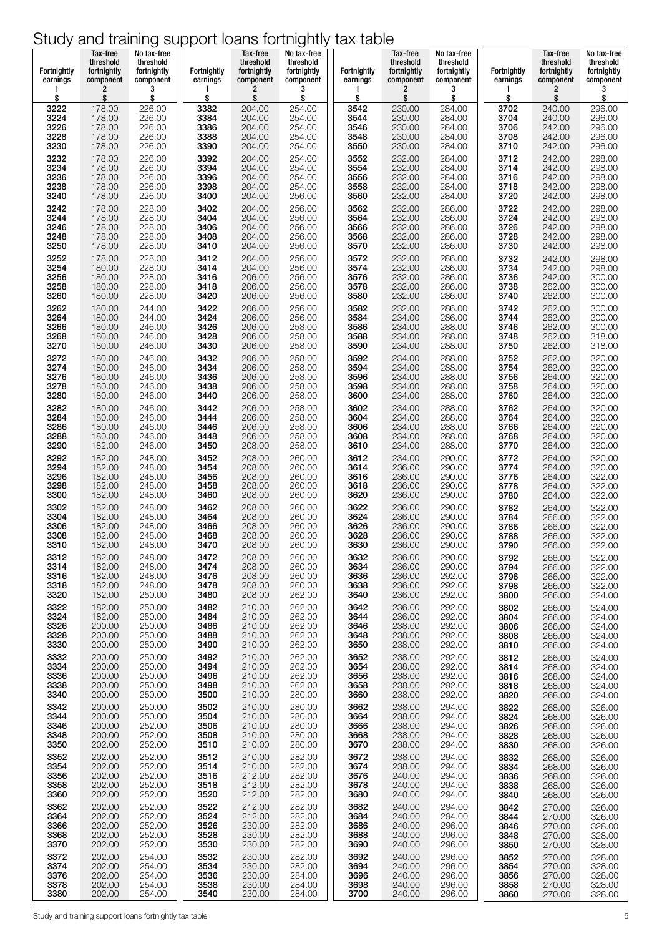| Fortnightly  | Tax-free<br>threshold<br>fortnightly | No tax-free<br>threshold<br>fortnightly | <b>Fortnightly</b> | Tax-free<br>threshold<br>fortnightly | No tax-free<br>threshold<br>fortnightly | Fortnightly  | Tax-free<br>threshold<br>fortnightly | No tax-free<br>threshold<br>fortnightly | Fortnightly  | Tax-free<br>threshold<br>fortnightly | No tax-free<br>threshold<br>fortnightly |
|--------------|--------------------------------------|-----------------------------------------|--------------------|--------------------------------------|-----------------------------------------|--------------|--------------------------------------|-----------------------------------------|--------------|--------------------------------------|-----------------------------------------|
| earnings     | component                            | component                               | earnings           | component                            | component                               | earnings     | component                            | component                               | earnings     | component                            | component                               |
| 1            | 2                                    | 3                                       | 1                  | 2                                    | 3                                       | 1            | 2                                    | 3                                       |              | 2                                    | 3                                       |
| \$           | \$                                   | \$                                      | \$                 | \$                                   | \$                                      | \$           | \$                                   | \$                                      | \$           | \$                                   | \$                                      |
| 3222         | 178.00                               | 226.00                                  | 3382               | 204.00                               | 254.00                                  | 3542         | 230.00                               | 284.00                                  | 3702         | 240.00                               | 296.00                                  |
| 3224         | 178.00                               | 226.00                                  | 3384               | 204.00                               | 254.00                                  | 3544         | 230.00                               | 284.00                                  | 3704         | 240.00                               | 296.00                                  |
| 3226         | 178.00                               | 226.00                                  | 3386               | 204.00                               | 254.00                                  | 3546         | 230.00                               | 284.00                                  | 3706         | 242.00                               | 296.00                                  |
| 3228         | 178.00                               | 226.00                                  | 3388               | 204.00                               | 254.00                                  | 3548         | 230.00                               | 284.00                                  | 3708         | 242.00                               | 296.00                                  |
| 3230         | 178.00                               | 226.00                                  | 3390               | 204.00                               | 254.00                                  | 3550         | 230.00                               | 284.00                                  | 3710         | 242.00                               | 296.00                                  |
| 3232         | 178.00                               | 226.00                                  | 3392               | 204.00                               | 254.00                                  | 3552         | 232.00                               | 284.00                                  | 3712         | 242.00                               | 298.00                                  |
| 3234         | 178.00                               | 226.00                                  | 3394               | 204.00                               | 254.00                                  | 3554         | 232.00                               | 284.00                                  | 3714         | 242.00                               | 298.00                                  |
| 3236         | 178.00                               | 226.00                                  | 3396               | 204.00                               | 254.00                                  | 3556         | 232.00                               | 284.00                                  | 3716         | 242.00                               | 298.00                                  |
| 3238         | 178.00                               | 226.00                                  | 3398               | 204.00                               | 254.00                                  | 3558         | 232.00                               | 284.00                                  | 3718         | 242.00                               | 298.00                                  |
| 3240         | 178.00                               | 226.00                                  | 3400               | 204.00                               | 256.00                                  | 3560         | 232.00                               | 284.00                                  | 3720         | 242.00                               | 298.00                                  |
| 3242<br>3244 | 178.00                               | 228.00<br>228.00                        | 3402<br>3404       | 204.00<br>204.00                     | 256.00                                  | 3562<br>3564 | 232.00<br>232.00                     | 286.00<br>286.00                        | 3722<br>3724 | 242.00<br>242.00                     | 298.00<br>298.00                        |
| 3246         | 178.00<br>178.00                     | 228.00                                  | 3406               | 204.00                               | 256.00<br>256.00                        | 3566         | 232.00                               | 286.00                                  | 3726         | 242.00                               | 298.00                                  |
| 3248         | 178.00                               | 228.00                                  | 3408               | 204.00                               | 256.00                                  | 3568         | 232.00                               | 286.00                                  | 3728         | 242.00                               | 298.00                                  |
| 3250         | 178.00                               | 228.00                                  | 3410               | 204.00                               | 256.00                                  | 3570         | 232.00                               | 286.00                                  | 3730         | 242.00                               | 298.00                                  |
| 3252         | 178.00                               | 228.00                                  | 3412               | 204.00                               | 256.00                                  | 3572         | 232.00                               | 286.00                                  | 3732         | 242.00                               | 298.00                                  |
| 3254         | 180.00                               | 228.00                                  | 3414               | 204.00                               | 256.00                                  | 3574         | 232.00                               | 286.00                                  | 3734         | 242.00                               | 298.00                                  |
| 3256         | 180.00                               | 228.00                                  | 3416               | 206.00                               | 256.00                                  | 3576         | 232.00                               | 286.00                                  | 3736         | 242.00                               | 300.00                                  |
| 3258         | 180.00                               | 228.00                                  | 3418               | 206.00                               | 256.00                                  | 3578         | 232.00                               | 286.00                                  | 3738         | 262.00                               | 300.00                                  |
| 3260         | 180.00                               | 228.00                                  | 3420               | 206.00                               | 256.00                                  | 3580         | 232.00                               | 286.00                                  | 3740         | 262.00                               | 300.00                                  |
| 3262         | 180.00                               | 244.00                                  | 3422               | 206.00                               | 256.00                                  | 3582         | 232.00                               | 286.00                                  | 3742         | 262.00                               | 300.00                                  |
| 3264         | 180.00                               | 244.00                                  | 3424               | 206.00                               | 256.00                                  | 3584         | 234.00                               | 286.00                                  | 3744         | 262.00                               | 300.00                                  |
| 3266         | 180.00                               | 246.00                                  | 3426               | 206.00                               | 258.00                                  | 3586         | 234.00                               | 288.00                                  | 3746         | 262.00                               | 300.00                                  |
| 3268         | 180.00                               | 246.00                                  | 3428               | 206.00                               | 258.00                                  | 3588         | 234.00                               | 288.00                                  | 3748         | 262.00                               | 318.00                                  |
| 3270         | 180.00                               | 246.00                                  | 3430               | 206.00                               | 258.00                                  | 3590         | 234.00                               | 288.00                                  | 3750         | 262.00                               | 318.00                                  |
| 3272         | 180.00                               | 246.00                                  | 3432               | 206.00                               | 258.00                                  | 3592         | 234.00                               | 288.00                                  | 3752         | 262.00                               | 320.00                                  |
| 3274         | 180.00                               | 246.00                                  | 3434               | 206.00                               | 258.00                                  | 3594         | 234.00                               | 288.00                                  | 3754         | 262.00                               | 320.00                                  |
| 3276         | 180.00                               | 246.00                                  | 3436               | 206.00                               | 258.00                                  | 3596         | 234.00                               | 288.00                                  | 3756         | 264.00                               | 320.00                                  |
| 3278         | 180.00                               | 246.00                                  | 3438               | 206.00                               | 258.00                                  | 3598         | 234.00                               | 288.00                                  | 3758         | 264.00                               | 320.00                                  |
| 3280         | 180.00                               | 246.00                                  | 3440               | 206.00                               | 258.00                                  | 3600         | 234.00                               | 288.00                                  | 3760         | 264.00                               | 320.00                                  |
| 3282         | 180.00                               | 246.00                                  | 3442               | 206.00                               | 258.00                                  | 3602         | 234.00                               | 288.00                                  | 3762         | 264.00                               | 320.00                                  |
| 3284         | 180.00                               | 246.00                                  | 3444               | 206.00                               | 258.00                                  | 3604         | 234.00                               | 288.00                                  | 3764         | 264.00                               | 320.00                                  |
| 3286         | 180.00                               | 246.00                                  | 3446               | 206.00                               | 258.00                                  | 3606         | 234.00                               | 288.00                                  | 3766         | 264.00                               | 320.00                                  |
| 3288         | 180.00                               | 246.00                                  | 3448               | 206.00                               | 258.00                                  | 3608         | 234.00                               | 288.00                                  | 3768         | 264.00                               | 320.00                                  |
| 3290         | 182.00                               | 246.00                                  | 3450               | 208.00                               | 258.00                                  | 3610         | 234.00                               | 288.00                                  | 3770         | 264.00                               | 320.00                                  |
| 3292         | 182.00                               | 248.00                                  | 3452               | 208.00                               | 260.00                                  | 3612         | 234.00                               | 290.00                                  | 3772         | 264.00                               | 320.00                                  |
| 3294         | 182.00                               | 248.00                                  | 3454               | 208.00                               | 260.00                                  | 3614         | 236.00                               | 290.00                                  | 3774         | 264.00                               | 320.00                                  |
| 3296         | 182.00                               | 248.00                                  | 3456               | 208.00                               | 260.00                                  | 3616         | 236.00                               | 290.00                                  | 3776         | 264.00                               | 322.00                                  |
| 3298         | 182.00                               | 248.00                                  | 3458               | 208.00                               | 260.00                                  | 3618         | 236.00                               | 290.00                                  |              | 264.00                               | 322.00                                  |
| 3300         | 182.00                               | 248.00                                  | 3460               | 208.00                               | 260.00                                  | 3620         | 236.00                               | 290.00                                  | 3778<br>3780 | 264.00                               | 322.00                                  |
| 3302         | 182.00                               | 248.00                                  | 3462               | 208.00                               | 260.00                                  | 3622         | 236.00                               | 290.00                                  | 3782         | 264.00                               | 322.00                                  |
| 3304         | 182.00                               | 248.00                                  | 3464               | 208.00                               | 260.00                                  | 3624         | 236.00                               | 290.00                                  | 3784         | 266.00                               | 322.00                                  |
| 3306         | 182.00                               | 248.00                                  | 3466               | 208.00                               | 260.00                                  | 3626         | 236.00                               | 290.00                                  | 3786         | 266.00                               | 322.00                                  |
| 3308         | 182.00                               | 248.00                                  | 3468               | 208.00                               | 260.00                                  | 3628         | 236.00                               | 290.00                                  | 3788         | 266.00                               | 322.00                                  |
| 3310         | 182.00                               | 248.00                                  | 3470               | 208.00                               | 260.00                                  | 3630         | 236.00                               | 290.00                                  | 3790         | 266.00                               | 322.00                                  |
| 3312         | 182.00                               | 248.00                                  | 3472               | 208.00                               | 260.00                                  | 3632         | 236.00                               | 290.00                                  | 3792         | 266.00                               | 322.00                                  |
| 3314         | 182.00                               | 248.00                                  | 3474               | 208.00                               | 260.00                                  | 3634         | 236.00                               | 290.00                                  | 3794         | 266.00                               | 322.00                                  |
| 3316         | 182.00                               | 248.00                                  | 3476               | 208.00                               | 260.00                                  | 3636         | 236.00                               | 292.00                                  | 3796         | 266.00                               | 322.00                                  |
| 3318         | 182.00                               | 248.00                                  | 3478               | 208.00                               | 260.00                                  | 3638         | 236.00                               | 292.00                                  | 3798         | 266.00                               | 322.00                                  |
| 3320         | 182.00                               | 250.00                                  | 3480               | 208.00                               | 262.00                                  | 3640         | 236.00                               | 292.00                                  | 3800         | 266.00                               | 324.00                                  |
| 3322         | 182.00                               | 250.00                                  | 3482               | 210.00                               | 262.00                                  | 3642         | 236.00                               | 292.00                                  | 3802         | 266.00                               | 324.00                                  |
| 3324         | 182.00                               | 250.00                                  | 3484               | 210.00                               | 262.00                                  | 3644         | 236.00                               | 292.00                                  | 3804         | 266.00                               | 324.00                                  |
| 3326         | 200.00                               | 250.00                                  | 3486               | 210.00                               | 262.00                                  | 3646         | 238.00                               | 292.00                                  | 3806         | 266.00                               | 324.00                                  |
| 3328         | 200.00                               | 250.00                                  | 3488               | 210.00                               | 262.00                                  | 3648         | 238.00                               | 292.00                                  | 3808         | 266.00                               | 324.00                                  |
| 3330         | 200.00                               | 250.00                                  | 3490               | 210.00                               | 262.00                                  | 3650         | 238.00                               | 292.00                                  | 3810         | 266.00                               | 324.00                                  |
| 3332<br>3334 | 200.00<br>200.00                     | 250.00<br>250.00                        | 3492<br>3494       | 210.00<br>210.00                     | 262.00<br>262.00                        | 3652<br>3654 | 238.00<br>238.00                     | 292.00<br>292.00                        | 3812         | 266.00                               | 324.00                                  |
| 3336         | 200.00                               | 250.00                                  | 3496               | 210.00                               | 262.00                                  | 3656         | 238.00                               | 292.00                                  | 3814<br>3816 | 268.00<br>268.00                     | 324.00<br>324.00                        |
| 3338         | 200.00                               | 250.00                                  | 3498               | 210.00                               | 262.00                                  | 3658         | 238.00                               | 292.00                                  | 3818         | 268.00                               | 324.00                                  |
| 3340         | 200.00                               | 250.00                                  | 3500               | 210.00                               | 280.00                                  | 3660         | 238.00                               | 292.00                                  | 3820         | 268.00                               | 324.00                                  |
| 3342         | 200.00                               | 250.00                                  | 3502               | 210.00                               | 280.00                                  | 3662         | 238.00                               | 294.00                                  | 3822         | 268.00                               | 326.00                                  |
| 3344         | 200.00                               | 250.00                                  | 3504               | 210.00                               | 280.00                                  | 3664         | 238.00                               | 294.00                                  | 3824         | 268.00                               | 326.00                                  |
| 3346         | 200.00                               | 252.00                                  | 3506               | 210.00                               | 280.00                                  | 3666         | 238.00                               | 294.00                                  | 3826         | 268.00                               | 326.00                                  |
| 3348         | 200.00                               | 252.00                                  | 3508               | 210.00                               | 280.00                                  | 3668         | 238.00                               | 294.00                                  | 3828         | 268.00                               | 326.00                                  |
| 3350         | 202.00                               | 252.00                                  | 3510               | 210.00                               | 280.00                                  | 3670         | 238.00                               | 294.00                                  | 3830         | 268.00                               | 326.00                                  |
| 3352         | 202.00                               | 252.00                                  | 3512               | 210.00                               | 282.00                                  | 3672         | 238.00                               | 294.00                                  | 3832         | 268.00                               | 326.00                                  |
| 3354         | 202.00                               | 252.00                                  | 3514               | 210.00                               | 282.00                                  | 3674         | 238.00                               | 294.00                                  | 3834         | 268.00                               | 326.00                                  |
| 3356         | 202.00                               | 252.00                                  | 3516               | 212.00                               | 282.00                                  | 3676         | 240.00                               | 294.00                                  | 3836         | 268.00                               | 326.00                                  |
| 3358         | 202.00                               | 252.00                                  | 3518               | 212.00                               | 282.00                                  | 3678         | 240.00                               | 294.00                                  | 3838         | 268.00                               | 326.00                                  |
| 3360         | 202.00                               | 252.00                                  | 3520               | 212.00                               | 282.00                                  | 3680         | 240.00                               | 294.00                                  | 3840         | 268.00                               | 326.00                                  |
| 3362         | 202.00                               | 252.00                                  | 3522               | 212.00                               | 282.00                                  | 3682         | 240.00                               | 294.00                                  | 3842         | 270.00                               | 326.00                                  |
| 3364         | 202.00                               | 252.00                                  | 3524               | 212.00                               | 282.00                                  | 3684         | 240.00                               | 294.00                                  | 3844         | 270.00                               | 326.00                                  |
| 3366         | 202.00                               | 252.00                                  | 3526               | 230.00                               | 282.00                                  | 3686         | 240.00                               | 296.00                                  | 3846         | 270.00                               | 328.00                                  |
| 3368         | 202.00                               | 252.00                                  | 3528               | 230.00                               | 282.00                                  | 3688         | 240.00                               | 296.00                                  | 3848         | 270.00                               | 328.00                                  |
| 3370         | 202.00                               | 252.00                                  | 3530               | 230.00                               | 282.00                                  | 3690         | 240.00                               | 296.00                                  | 3850         | 270.00                               | 328.00                                  |
| 3372         | 202.00                               | 254.00                                  | 3532               | 230.00                               | 282.00                                  | 3692         | 240.00                               | 296.00                                  | 3852         | 270.00                               | 328.00                                  |
| 3374         | 202.00                               | 254.00                                  | 3534               | 230.00                               | 282.00                                  | 3694         | 240.00                               | 296.00                                  | 3854         | 270.00                               | 328.00                                  |
| 3376         | 202.00                               | 254.00                                  | 3536               | 230.00                               | 284.00                                  | 3696         | 240.00                               | 296.00                                  | 3856         | 270.00                               | 328.00                                  |
| 3378         | 202.00                               | 254.00                                  | 3538               | 230.00                               | 284.00                                  | 3698         | 240.00                               | 296.00                                  | 3858         | 270.00                               | 328.00                                  |
| 3380         | 202.00                               | 254.00                                  | 3540               | 230.00                               | 284.00                                  | 3700         | 240.00                               | 296.00                                  | 3860         | 270.00                               | 328.00                                  |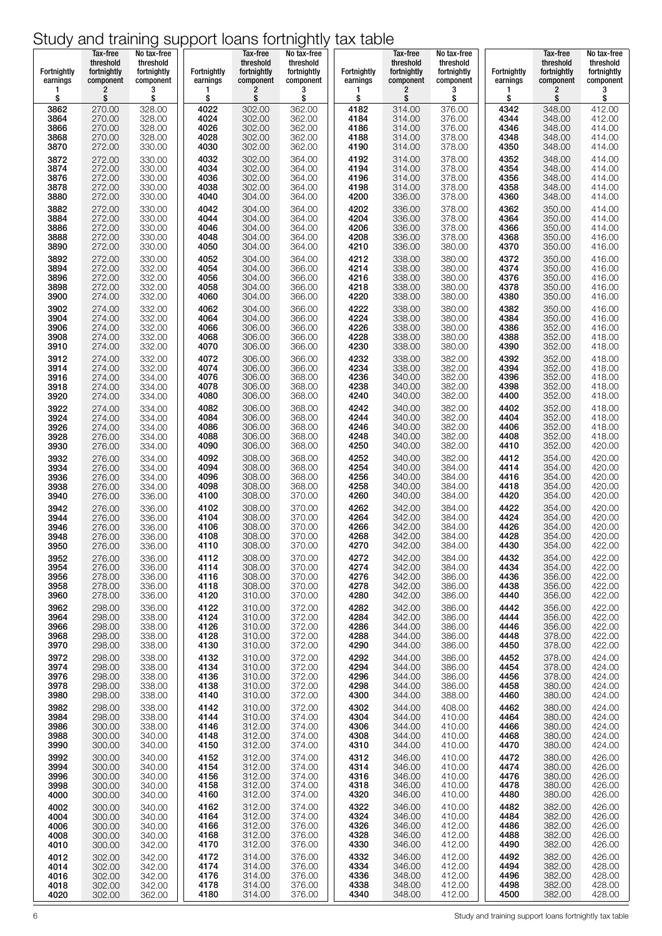| Fortnightly  | Tax-free<br>threshold<br>fortnightly | No tax-free<br>threshold<br>fortnightly | <b>Fortnightly</b> | Tax-free<br>threshold<br>fortnightly | No tax-free<br>threshold<br>fortnightly | <b>Fortnightly</b> | Tax-free<br>threshold<br>fortnightly | No tax-free<br>threshold<br>fortnightly | <b>Fortnightly</b> | Tax-free<br>threshold<br>fortnightly | No tax-free<br>threshold<br>fortnightly |
|--------------|--------------------------------------|-----------------------------------------|--------------------|--------------------------------------|-----------------------------------------|--------------------|--------------------------------------|-----------------------------------------|--------------------|--------------------------------------|-----------------------------------------|
| earnings     | component                            | component                               | earnings           | component                            | component                               | earnings           | component                            | component                               | earnings           | component                            | component                               |
| 1            | 2                                    | 3                                       | 1                  | 2                                    | 3                                       | 1                  | 2                                    | 3                                       | 1                  | 2                                    | 3                                       |
| \$           | \$                                   | \$                                      | \$                 | \$                                   | \$                                      | \$                 | \$                                   | \$                                      | \$                 | \$                                   | \$                                      |
| 3862         | 270.00                               | 328.00                                  | 4022               | 302.00                               | 362.00                                  | 4182               | 314.00                               | 376.00                                  | 4342               | 348.00                               | 412.00                                  |
| 3864         | 270.00                               | 328.00                                  | 4024               | 302.00                               | 362.00                                  | 4184               | 314.00                               | 376.00                                  | 4344               | 348.00                               | 412.00                                  |
| 3866         | 270.00                               | 328.00                                  | 4026               | 302.00                               | 362.00                                  | 4186               | 314.00                               | 376.00                                  | 4346               | 348.00                               | 414.00                                  |
| 3868         | 270.00                               | 328.00                                  | 4028               | 302.00                               | 362.00                                  | 4188               | 314.00                               | 378.00                                  | 4348               | 348.00                               | 414.00                                  |
| 3870         | 272.00                               | 330.00                                  | 4030               | 302.00                               | 362.00                                  | 4190               | 314.00                               | 378.00                                  | 4350               | 348.00                               | 414.00                                  |
| 3872         | 272.00                               | 330.00                                  | 4032               | 302.00                               | 364.00                                  | 4192               | 314.00                               | 378.00                                  | 4352               | 348.00                               | 414.00                                  |
| 3874         | 272.00                               | 330.00                                  | 4034               | 302.00                               | 364.00                                  | 4194               | 314.00                               | 378.00                                  | 4354               | 348.00                               | 414.00                                  |
| 3876         | 272.00                               | 330.00                                  | 4036               | 302.00                               | 364.00                                  | 4196               | 314.00                               | 378.00                                  | 4356               | 348.00                               | 414.00                                  |
| 3878         | 272.00                               | 330.00                                  | 4038               | 302.00                               | 364.00                                  | 4198               | 314.00                               | 378.00                                  | 4358               | 348.00                               | 414.00                                  |
| 3880         | 272.00                               | 330.00                                  | 4040               | 304.00                               | 364.00                                  | 4200               | 336.00                               | 378.00                                  | 4360               | 348.00                               | 414.00                                  |
| 3882         | 272.00                               | 330.00                                  | 4042               | 304.00                               | 364.00                                  | 4202               | 336.00                               | 378.00                                  | 4362               | 350.00                               | 414.00                                  |
| 3884         | 272.00                               | 330.00                                  | 4044               | 304.00                               | 364.00                                  | 4204               | 336.00                               | 378.00                                  | 4364               | 350.00                               | 414.00                                  |
| 3886         | 272.00                               | 330.00                                  | 4046               | 304.00                               | 364.00                                  | 4206               | 336.00                               | 378.00                                  | 4366               | 350.00                               | 414.00                                  |
| 3888         | 272.00                               | 330.00                                  | 4048               | 304.00                               | 364.00                                  | 4208               | 336.00                               | 378.00                                  | 4368               | 350.00                               | 416.00                                  |
| 3890         | 272.00                               | 330.00                                  | 4050               | 304.00                               | 364.00                                  | 4210               | 336.00                               | 380.00                                  | 4370               | 350.00                               | 416.00                                  |
| 3892         | 272.00                               | 330.00                                  | 4052               | 304.00                               | 364.00                                  | 4212               | 338.00                               | 380.00                                  | 4372               | 350.00                               | 416.00                                  |
| 3894         | 272.00                               | 332.00                                  | 4054               | 304.00                               | 366.00                                  | 4214               | 338.00                               | 380.00                                  | 4374               | 350.00                               | 416.00                                  |
| 3896         | 272.00                               | 332.00                                  | 4056               | 304.00                               | 366.00                                  | 4216               | 338.00                               | 380.00                                  | 4376               | 350.00                               | 416.00                                  |
| 3898         | 272.00                               | 332.00                                  | 4058               | 304.00                               | 366.00                                  | 4218               | 338.00                               | 380.00                                  | 4378               | 350.00                               | 416.00                                  |
| 3900         | 274.00                               | 332.00                                  | 4060               | 304.00                               | 366.00                                  | 4220               | 338.00                               | 380.00                                  | 4380               | 350.00                               | 416.00                                  |
| 3902         | 274.00                               | 332.00                                  | 4062               | 304.00                               | 366.00                                  | 4222               | 338.00                               | 380.00                                  | 4382               | 350.00                               | 416.00                                  |
| 3904         | 274.00                               | 332.00                                  | 4064               | 304.00                               | 366.00                                  | 4224               | 338.00                               | 380.00                                  | 4384               | 350.00                               | 416.00                                  |
| 3906         | 274.00                               | 332.00                                  | 4066               | 306.00                               | 366.00                                  | 4226               | 338.00                               | 380.00                                  | 4386               | 352.00                               | 416.00                                  |
| 3908         | 274.00                               | 332.00                                  | 4068               | 306.00                               | 366.00                                  | 4228               | 338.00                               | 380.00                                  | 4388               | 352.00                               | 418.00                                  |
| 3910         | 274.00                               | 332.00                                  | 4070               | 306.00                               | 366.00                                  | 4230               | 338.00                               | 380.00                                  | 4390               | 352.00                               | 418.00                                  |
| 3912         | 274.00                               | 332.00                                  | 4072               | 306.00                               | 366.00                                  | 4232               | 338.00                               | 382.00                                  | 4392               | 352.00                               | 418.00                                  |
| 3914         | 274.00                               | 332.00                                  | 4074               | 306.00                               | 366.00                                  | 4234               | 338.00                               | 382.00                                  | 4394               | 352.00                               | 418.00                                  |
| 3916         | 274.00                               | 334.00                                  | 4076               | 306.00                               | 368.00                                  | 4236               | 340.00                               | 382.00                                  | 4396               | 352.00                               | 418.00                                  |
| 3918         | 274.00                               | 334.00                                  | 4078<br>4080       | 306.00<br>306.00                     | 368.00<br>368.00                        | 4238<br>4240       | 340.00<br>340.00                     | 382.00<br>382.00                        | 4398<br>4400       | 352.00<br>352.00                     | 418.00<br>418.00                        |
| 3920<br>3922 | 274.00<br>274.00                     | 334.00<br>334.00                        | 4082               | 306.00                               | 368.00                                  | 4242               | 340.00                               | 382.00                                  | 4402               | 352.00                               | 418.00                                  |
| 3924         | 274.00                               | 334.00                                  | 4084               | 306.00                               | 368.00                                  | 4244               | 340.00                               | 382.00                                  | 4404               | 352.00                               | 418.00                                  |
| 3926         | 274.00                               | 334.00                                  | 4086               | 306.00                               | 368.00                                  | 4246               | 340.00                               | 382.00                                  | 4406               | 352.00                               | 418.00                                  |
| 3928         | 276.00                               | 334.00                                  | 4088               | 306.00                               | 368.00                                  | 4248               | 340.00                               | 382.00                                  | 4408               | 352.00                               | 418.00                                  |
| 3930         | 276.00                               | 334.00                                  | 4090               | 306.00                               | 368.00                                  | 4250               | 340.00                               | 382.00                                  | 4410               | 352.00                               | 420.00                                  |
| 3932         | 276.00                               | 334.00<br>334.00                        | 4092<br>4094       | 308.00<br>308.00                     | 368.00<br>368.00                        | 4252<br>4254       | 340.00<br>340.00                     | 382.00<br>384.00                        | 4412<br>4414       | 354.00<br>354.00                     | 420.00<br>420.00                        |
| 3934<br>3936 | 276.00<br>276.00                     | 334.00                                  | 4096               | 308.00                               | 368.00                                  | 4256               | 340.00                               | 384.00                                  | 4416               | 354.00                               | 420.00                                  |
| 3938         | 276.00                               | 334.00                                  | 4098               | 308.00                               | 368.00                                  | 4258               | 340.00                               | 384.00                                  | 4418               | 354.00                               | 420.00                                  |
| 3940         | 276.00                               | 336.00                                  | 4100               | 308.00                               | 370.00                                  | 4260               | 340.00                               | 384.00                                  | 4420               | 354.00                               | 420.00                                  |
| 3942         | 276.00                               | 336.00                                  | 4102               | 308.00                               | 370.00                                  | 4262               | 342.00                               | 384.00                                  | 4422               | 354.00                               | 420.00                                  |
| 3944         | 276.00                               | 336.00                                  | 4104               | 308.00                               | 370.00                                  | 4264               | 342.00                               | 384.00                                  | 4424               | 354.00                               | 420.00                                  |
| 3946         | 276.00                               | 336.00                                  | 4106               | 308.00                               | 370.00                                  | 4266               | 342.00                               | 384.00                                  | 4426               | 354.00                               | 420.00                                  |
| 3948         | 276.00                               | 336.00                                  | 4108               | 308.00                               | 370.00                                  | 4268               | 342.00                               | 384.00                                  | 4428               | 354.00                               | 420.00                                  |
| 3950         | 276.00                               | 336.00                                  | 4110               | 308.00                               | 370.00                                  | 4270               | 342.00                               | 384.00                                  | 4430               | 354.00                               | 422.00                                  |
| 3952         | 276.00                               | 336.00                                  | 4112               | 308.00                               | 370.00                                  | 4272               | 342.00                               | 384.00                                  | 4432               | 354.00                               | 422.00                                  |
| 3954         | 276.00                               | 336.00                                  | 4114               | 308.00                               | 370.00                                  | 4274               | 342.00                               | 384.00                                  | 4434               | 354.00                               | 422.00                                  |
| 3956         | 278.00                               | 336.00                                  | 4116               | 308.00                               | 370.00                                  | 4276               | 342.00                               | 386.00                                  | 4436               | 356.00                               | 422.00                                  |
| 3958         | 278.00                               | 336.00                                  | 4118               | 308.00                               | 370.00                                  | 4278               | 342.00                               | 386.00                                  | 4438               | 356.00                               | 422.00                                  |
| 3960         | 278.00                               | 336.00                                  | 4120               | 310.00                               | 370.00                                  | 4280               | 342.00                               | 386.00                                  | 4440               | 356.00                               | 422.00                                  |
| 3962         | 298.00                               | 336.00                                  | 4122               | 310.00                               | 372.00                                  | 4282               | 342.00                               | 386.00                                  | 4442               | 356.00                               | 422.00                                  |
| 3964         | 298.00                               | 338.00                                  | 4124               | 310.00                               | 372.00                                  | 4284               | 342.00                               | 386.00                                  | 4444               | 356.00                               | 422.00                                  |
| 3966         | 298.00                               | 338.00                                  | 4126               | 310.00                               | 372.00                                  | 4286               | 344.00                               | 386.00                                  | 4446               | 356.00                               | 422.00                                  |
| 3968         | 298.00                               | 338.00                                  | 4128               | 310.00                               | 372.00                                  | 4288               | 344.00                               | 386.00                                  | 4448               | 378.00                               | 422.00                                  |
| 3970         | 298.00                               | 338.00                                  | 4130               | 310.00                               | 372.00                                  | 4290               | 344.00                               | 386.00                                  | 4450               | 378.00                               | 422.00                                  |
| 3972         | 298.00                               | 338.00                                  | 4132               | 310.00                               | 372.00                                  | 4292               | 344.00                               | 386.00                                  | 4452               | 378.00                               | 424.00                                  |
| 3974         | 298.00                               | 338.00                                  | 4134               | 310.00                               | 372.00                                  | 4294               | 344.00                               | 386.00                                  | 4454               | 378.00                               | 424.00                                  |
| 3976         | 298.00                               | 338.00                                  | 4136               | 310.00                               | 372.00                                  | 4296               | 344.00                               | 386.00                                  | 4456               | 378.00                               | 424.00                                  |
| 3978         | 298.00                               | 338.00                                  | 4138               | 310.00                               | 372.00                                  | 4298               | 344.00                               | 386.00                                  | 4458               | 380.00                               | 424.00                                  |
| 3980         | 298.00                               | 338.00                                  | 4140               | 310.00                               | 372.00                                  | 4300               | 344.00                               | 388.00                                  | 4460               | 380.00                               | 424.00                                  |
| 3982         | 298.00                               | 338.00                                  | 4142               | 310.00                               | 372.00                                  | 4302               | 344.00                               | 408.00                                  | 4462               | 380.00                               | 424.00                                  |
| 3984         | 298.00                               | 338.00                                  | 4144               | 310.00                               | 374.00                                  | 4304               | 344.00                               | 410.00                                  | 4464               | 380.00                               | 424.00                                  |
| 3986         | 300.00                               | 338.00                                  | 4146               | 312.00                               | 374.00                                  | 4306               | 344.00                               | 410.00                                  | 4466               | 380.00                               | 424.00                                  |
| 3988         | 300.00                               | 340.00                                  | 4148               | 312.00                               | 374.00                                  | 4308               | 344.00                               | 410.00                                  | 4468               | 380.00                               | 424.00                                  |
| 3990         | 300.00                               | 340.00                                  | 4150               | 312.00                               | 374.00                                  | 4310               | 344.00                               | 410.00                                  | 4470               | 380.00                               | 424.00                                  |
| 3992         | 300.00                               | 340.00                                  | 4152               | 312.00                               | 374.00                                  | 4312               | 346.00                               | 410.00                                  | 4472               | 380.00                               | 426.00                                  |
| 3994         | 300.00                               | 340.00                                  | 4154               | 312.00                               | 374.00                                  | 4314               | 346.00                               | 410.00                                  | 4474               | 380.00                               | 426.00                                  |
| 3996         | 300.00                               | 340.00                                  | 4156               | 312.00                               | 374.00                                  | 4316               | 346.00                               | 410.00                                  | 4476               | 380.00                               | 426.00                                  |
| 3998         | 300.00                               | 340.00                                  | 4158               | 312.00                               | 374.00                                  | 4318               | 346.00                               | 410.00                                  | 4478               | 380.00                               | 426.00                                  |
| 4000         | 300.00                               | 340.00                                  | 4160               | 312.00                               | 374.00                                  | 4320               | 346.00                               | 410.00                                  | 4480               | 380.00                               | 426.00                                  |
| 4002         | 300.00                               | 340.00                                  | 4162               | 312.00                               | 374.00                                  | 4322               | 346.00                               | 410.00                                  | 4482               | 382.00                               | 426.00                                  |
| 4004         | 300.00                               | 340.00                                  | 4164               | 312.00                               | 374.00                                  | 4324               | 346.00                               | 410.00                                  | 4484               | 382.00                               | 426.00                                  |
| 4006         | 300.00                               | 340.00                                  | 4166               | 312.00                               | 376.00                                  | 4326               | 346.00                               | 412.00                                  | 4486               | 382.00                               | 426.00                                  |
| 4008         | 300.00<br>300.00                     | 340.00                                  | 4168<br>4170       | 312.00<br>312.00                     | 376.00                                  | 4328<br>4330       | 346.00<br>346.00                     | 412.00                                  | 4488<br>4490       | 382.00<br>382.00                     | 426.00<br>426.00                        |
| 4010<br>4012 | 302.00                               | 342.00<br>342.00                        | 4172               | 314.00                               | 376.00<br>376.00                        | 4332               | 346.00                               | 412.00<br>412.00                        | 4492               | 382.00                               | 426.00                                  |
| 4014         | 302.00                               | 342.00                                  | 4174               | 314.00                               | 376.00                                  | 4334               | 346.00                               | 412.00                                  | 4494               | 382.00                               | 428.00                                  |
| 4016         | 302.00                               | 342.00                                  | 4176               | 314.00                               | 376.00                                  | 4336               | 348.00                               | 412.00                                  | 4496               | 382.00                               | 428.00                                  |
| 4018         | 302.00                               | 342.00                                  | 4178               | 314.00                               | 376.00                                  | 4338               | 348.00                               | 412.00                                  | 4498               | 382.00                               | 428.00                                  |
| 4020         | 302.00                               | 362.00                                  | 4180               | 314.00                               | 376.00                                  | 4340               | 348.00                               | 412.00                                  | 4500               | 382.00                               | 428.00                                  |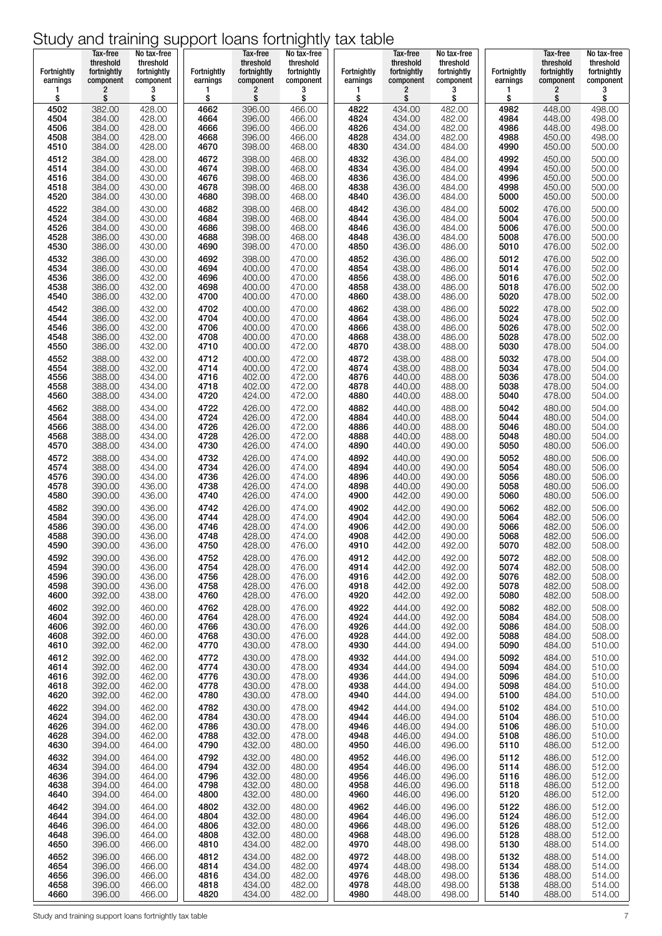| Fortnightly | Tax-free<br>threshold<br>fortnightly | No tax-free<br>threshold<br>fortnightly | <b>Fortnightly</b> | Tax-free<br>threshold<br>fortnightly | No tax-free<br>threshold<br>fortnightly | Fortnightly | Tax-free<br>threshold<br>fortnightly | No tax-free<br>threshold<br>fortnightly | Fortnightly | Tax-free<br>threshold<br>fortnightly | No tax-free<br>threshold<br>fortnightly |
|-------------|--------------------------------------|-----------------------------------------|--------------------|--------------------------------------|-----------------------------------------|-------------|--------------------------------------|-----------------------------------------|-------------|--------------------------------------|-----------------------------------------|
| earnings    | component                            | component                               | earnings           | component                            | component                               | earnings    | component                            | component                               | earnings    | component                            | component                               |
| 1           | 2                                    | 3                                       | 1                  | 2                                    | 3                                       | 1           | 2                                    | 3                                       | 1           | 2                                    | 3                                       |
| \$          | \$                                   | \$                                      | \$                 | \$                                   | \$                                      | \$          | \$                                   | \$                                      | \$          | \$                                   | \$                                      |
| 4502        | 382.00                               | 428.00                                  | 4662               | 396.00                               | 466.00                                  | 4822        | 434.00                               | 482.00                                  | 4982        | 448.00                               | 498.00                                  |
| 4504        | 384.00                               | 428.00                                  | 4664               | 396.00                               | 466.00                                  | 4824        | 434.00                               | 482.00                                  | 4984        | 448.00                               | 498.00                                  |
| 4506        | 384.00                               | 428.00                                  | 4666               | 396.00                               | 466.00                                  | 4826        | 434.00                               | 482.00                                  | 4986        | 448.00                               | 498.00                                  |
| 4508        | 384.00                               | 428.00                                  | 4668               | 396.00                               | 466.00                                  | 4828        | 434.00                               | 482.00                                  | 4988        | 450.00                               | 498.00                                  |
| 4510        | 384.00                               | 428.00                                  | 4670               | 398.00                               | 468.00                                  | 4830        | 434.00                               | 484.00                                  | 4990        | 450.00                               | 500.00                                  |
| 4512        | 384.00                               | 428.00                                  | 4672               | 398.00                               | 468.00                                  | 4832        | 436.00                               | 484.00                                  | 4992        | 450.00                               | 500.00                                  |
| 4514        | 384.00                               | 430.00                                  | 4674               | 398.00                               | 468.00                                  | 4834        | 436.00                               | 484.00                                  | 4994        | 450.00                               | 500.00                                  |
| 4516        | 384.00                               | 430.00                                  | 4676               | 398.00                               | 468.00                                  | 4836        | 436.00                               | 484.00                                  | 4996        | 450.00                               | 500.00                                  |
| 4518        | 384.00                               | 430.00                                  | 4678               | 398.00                               | 468.00                                  | 4838        | 436.00                               | 484.00                                  | 4998        | 450.00                               | 500.00                                  |
| 4520        | 384.00                               | 430.00                                  | 4680               | 398.00                               | 468.00                                  | 4840        | 436.00                               | 484.00                                  | 5000        | 450.00                               | 500.00                                  |
| 4522        | 384.00                               | 430.00                                  | 4682               | 398.00                               | 468.00                                  | 4842        | 436.00                               | 484.00                                  | 5002        | 476.00                               | 500.00                                  |
| 4524        | 384.00                               | 430.00                                  | 4684               | 398.00                               | 468.00                                  | 4844        | 436.00                               | 484.00                                  | 5004        | 476.00                               | 500.00                                  |
| 4526        | 384.00                               | 430.00                                  | 4686               | 398.00                               | 468.00                                  | 4846        | 436.00                               | 484.00                                  | 5006        | 476.00                               | 500.00                                  |
| 4528        | 386.00                               | 430.00                                  | 4688               | 398.00                               | 468.00                                  | 4848        | 436.00                               | 484.00                                  | 5008        | 476.00                               | 500.00                                  |
| 4530        | 386.00                               | 430.00                                  | 4690               | 398.00                               | 470.00                                  | 4850        | 436.00                               | 486.00                                  | 5010        | 476.00                               | 502.00                                  |
| 4532        | 386.00                               | 430.00                                  | 4692               | 398.00                               | 470.00                                  | 4852        | 436.00                               | 486.00                                  | 5012        | 476.00                               | 502.00                                  |
| 4534        | 386.00                               | 430.00                                  | 4694               | 400.00                               | 470.00                                  | 4854        | 438.00                               | 486.00                                  | 5014        | 476.00                               | 502.00                                  |
| 4536        | 386.00                               | 432.00                                  | 4696               | 400.00                               | 470.00                                  | 4856        | 438.00                               | 486.00                                  | 5016        | 476.00                               | 502.00                                  |
| 4538        | 386.00                               | 432.00                                  | 4698               | 400.00                               | 470.00                                  | 4858        | 438.00                               | 486.00                                  | 5018        | 476.00                               | 502.00                                  |
| 4540        | 386.00                               | 432.00                                  | 4700               | 400.00                               | 470.00                                  | 4860        | 438.00                               | 486.00                                  | 5020        | 478.00                               | 502.00                                  |
| 4542        | 386.00                               | 432.00                                  | 4702               | 400.00                               | 470.00                                  | 4862        | 438.00                               | 486.00                                  | 5022        | 478.00                               | 502.00                                  |
| 4544        | 386.00                               | 432.00                                  | 4704               | 400.00                               | 470.00                                  | 4864        | 438.00                               | 486.00                                  | 5024        | 478.00                               | 502.00                                  |
| 4546        | 386.00                               | 432.00                                  | 4706               | 400.00                               | 470.00                                  | 4866        | 438.00                               | 486.00                                  | 5026        | 478.00                               | 502.00                                  |
| 4548        | 386.00                               | 432.00                                  | 4708               | 400.00                               | 470.00                                  | 4868        | 438.00                               | 486.00                                  | 5028        | 478.00                               | 502.00                                  |
| 4550        | 386.00                               | 432.00                                  | 4710               | 400.00                               | 472.00                                  | 4870        | 438.00                               | 488.00                                  | 5030        | 478.00                               | 504.00                                  |
| 4552        | 388.00                               | 432.00                                  | 4712               | 400.00                               | 472.00                                  | 4872        | 438.00                               | 488.00                                  | 5032        | 478.00                               | 504.00                                  |
| 4554        | 388.00                               | 432.00                                  | 4714               | 400.00                               | 472.00                                  | 4874        | 438.00                               | 488.00                                  | 5034        | 478.00                               | 504.00                                  |
| 4556        |                                      | 434.00                                  | 4716               | 402.00                               | 472.00                                  | 4876        | 440.00                               | 488.00                                  | 5036        | 478.00                               | 504.00                                  |
| 4558        | 388.00<br>388.00                     | 434.00                                  | 4718               | 402.00                               | 472.00                                  | 4878        | 440.00                               | 488.00                                  | 5038        | 478.00                               | 504.00                                  |
| 4560        | 388.00                               | 434.00                                  | 4720               | 424.00                               | 472.00                                  | 4880        | 440.00                               | 488.00                                  | 5040        | 478.00                               | 504.00                                  |
| 4562        | 388.00                               | 434.00                                  | 4722               | 426.00                               | 472.00                                  | 4882        | 440.00                               | 488.00                                  | 5042        | 480.00                               | 504.00                                  |
| 4564        | 388.00                               | 434.00                                  | 4724               | 426.00                               | 472.00                                  | 4884        | 440.00                               | 488.00                                  | 5044        | 480.00                               | 504.00                                  |
| 4566        | 388.00                               | 434.00                                  | 4726               | 426.00                               | 472.00                                  | 4886        | 440.00                               | 488.00                                  | 5046        | 480.00                               | 504.00                                  |
| 4568        | 388.00                               | 434.00                                  | 4728               | 426.00                               | 472.00                                  | 4888        | 440.00                               | 488.00                                  | 5048        | 480.00                               | 504.00                                  |
| 4570        | 388.00                               | 434.00                                  | 4730               | 426.00                               | 474.00                                  | 4890        | 440.00                               | 490.00                                  | 5050        | 480.00                               | 506.00                                  |
| 4572        | 388.00                               | 434.00                                  | 4732               | 426.00                               | 474.00                                  | 4892        | 440.00                               | 490.00                                  | 5052        | 480.00                               | 506.00                                  |
| 4574        | 388.00                               | 434.00                                  | 4734               | 426.00                               | 474.00                                  | 4894        | 440.00                               | 490.00                                  | 5054        | 480.00                               | 506.00                                  |
| 4576        | 390.00                               | 434.00                                  | 4736               | 426.00                               | 474.00                                  | 4896        | 440.00                               | 490.00                                  | 5056        | 480.00                               | 506.00                                  |
| 4578        | 390.00                               | 436.00                                  | 4738               | 426.00                               | 474.00                                  | 4898        | 440.00                               | 490.00                                  | 5058        | 480.00                               | 506.00                                  |
| 4580        | 390.00                               | 436.00                                  | 4740               | 426.00                               | 474.00                                  | 4900        | 442.00                               | 490.00                                  | 5060        | 480.00                               | 506.00                                  |
| 4582        | 390.00                               | 436.00                                  | 4742               | 426.00                               | 474.00                                  | 4902        | 442.00                               | 490.00                                  | 5062        | 482.00                               | 506.00                                  |
| 4584        | 390.00                               | 436.00                                  | 4744               | 428.00                               | 474.00                                  | 4904        | 442.00                               | 490.00                                  | 5064        | 482.00                               | 506.00                                  |
| 4586        | 390.00                               | 436.00                                  | 4746               | 428.00                               | 474.00                                  | 4906        | 442.00<br>442.00                     | 490.00                                  | 5066        | 482.00                               | 506.00                                  |
| 4588        | 390.00                               | 436.00                                  | 4748               | 428.00                               | 474.00                                  | 4908        | 442.00                               | 490.00                                  | 5068        | 482.00                               | 506.00                                  |
| 4590        | 390.00                               | 436.00                                  | 4750               | 428.00                               | 476.00                                  | 4910        |                                      | 492.00                                  | 5070        | 482.00                               | 508.00                                  |
| 4592        | 390.00                               | 436.00                                  | 4752               | 428.00                               | 476.00                                  | 4912        | 442.00                               | 492.00                                  | 5072        | 482.00                               | 508.00                                  |
| 4594        | 390.00                               | 436.00                                  | 4754               | 428.00                               | 476.00                                  | 4914        | 442.00                               | 492.00                                  | 5074        | 482.00                               | 508.00                                  |
| 4596        | 390.00                               | 436.00                                  | 4756               | 428.00                               | 476.00                                  | 4916        | 442.00                               | 492.00                                  | 5076        | 482.00                               | 508.00                                  |
| 4598        | 390.00                               | 436.00                                  | 4758               | 428.00                               | 476.00                                  | 4918        | 442.00                               | 492.00                                  | 5078        | 482.00                               | 508.00                                  |
| 4600        | 392.00                               | 438.00                                  | 4760               | 428.00                               | 476.00                                  | 4920        | 442.00                               | 492.00                                  | 5080        | 482.00                               | 508.00                                  |
| 4602        | 392.00                               | 460.00                                  | 4762               | 428.00                               | 476.00                                  | 4922        | 444.00                               | 492.00                                  | 5082        | 482.00                               | 508.00                                  |
| 4604        | 392.00                               | 460.00                                  | 4764               | 428.00                               | 476.00                                  | 4924        | 444.00                               | 492.00                                  | 5084        | 484.00                               | 508.00                                  |
| 4606        | 392.00                               | 460.00                                  | 4766               | 430.00                               | 476.00                                  | 4926        | 444.00                               | 492.00                                  | 5086        | 484.00                               | 508.00                                  |
| 4608        | 392.00                               | 460.00                                  | 4768               | 430.00                               | 476.00                                  | 4928        | 444.00                               | 492.00                                  | 5088        | 484.00                               | 508.00                                  |
| 4610        | 392.00                               | 462.00                                  | 4770               | 430.00                               | 478.00                                  | 4930        | 444.00                               | 494.00                                  | 5090        | 484.00                               | 510.00                                  |
| 4612        | 392.00                               | 462.00                                  | 4772               | 430.00                               | 478.00                                  | 4932        | 444.00                               | 494.00                                  | 5092        | 484.00                               | 510.00                                  |
| 4614        | 392.00                               | 462.00                                  | 4774               | 430.00                               | 478.00                                  | 4934        | 444.00                               | 494.00                                  | 5094        | 484.00                               | 510.00                                  |
| 4616        | 392.00                               | 462.00                                  | 4776               | 430.00                               | 478.00                                  | 4936        | 444.00                               | 494.00                                  | 5096        | 484.00                               | 510.00                                  |
| 4618        | 392.00                               | 462.00                                  | 4778               | 430.00                               | 478.00                                  | 4938        | 444.00                               | 494.00                                  | 5098        | 484.00                               | 510.00                                  |
| 4620        | 392.00                               | 462.00                                  | 4780               | 430.00                               | 478.00                                  | 4940        | 444.00                               | 494.00                                  | 5100        | 484.00                               | 510.00                                  |
| 4622        | 394.00                               | 462.00                                  | 4782               | 430.00                               | 478.00                                  | 4942        | 444.00                               | 494.00                                  | 5102        | 484.00                               | 510.00                                  |
| 4624        | 394.00                               | 462.00                                  | 4784               | 430.00                               | 478.00                                  | 4944        | 446.00                               | 494.00                                  | 5104        | 486.00                               | 510.00                                  |
| 4626        | 394.00                               | 462.00                                  | 4786               | 430.00                               | 478.00                                  | 4946        | 446.00                               | 494.00                                  | 5106        | 486.00                               | 510.00                                  |
| 4628        | 394.00                               | 462.00                                  | 4788               | 432.00                               | 478.00                                  | 4948        | 446.00                               | 494.00                                  | 5108        | 486.00                               | 510.00                                  |
| 4630        | 394.00                               | 464.00                                  | 4790               | 432.00                               | 480.00                                  | 4950        | 446.00                               | 496.00                                  | 5110        | 486.00                               | 512.00                                  |
| 4632        | 394.00                               | 464.00                                  | 4792               | 432.00                               | 480.00                                  | 4952        | 446.00                               | 496.00                                  | 5112        | 486.00                               | 512.00                                  |
| 4634        | 394.00                               | 464.00                                  | 4794               | 432.00                               | 480.00                                  | 4954        | 446.00                               | 496.00                                  | 5114        | 486.00                               | 512.00                                  |
| 4636        | 394.00                               | 464.00                                  | 4796               | 432.00                               | 480.00                                  | 4956        | 446.00                               | 496.00                                  | 5116        | 486.00                               | 512.00                                  |
| 4638        | 394.00                               | 464.00                                  | 4798               | 432.00                               | 480.00                                  | 4958        | 446.00                               | 496.00                                  | 5118        | 486.00                               | 512.00                                  |
| 4640        | 394.00                               | 464.00                                  | 4800               | 432.00                               | 480.00                                  | 4960        | 446.00                               | 496.00                                  | 5120        | 486.00                               | 512.00                                  |
| 4642        | 394.00                               | 464.00                                  | 4802               | 432.00                               | 480.00                                  | 4962        | 446.00                               | 496.00                                  | 5122        | 486.00                               | 512.00                                  |
| 4644        | 394.00                               | 464.00                                  | 4804               | 432.00                               | 480.00                                  | 4964        | 446.00                               | 496.00                                  | 5124        | 486.00                               | 512.00                                  |
| 4646        | 396.00                               | 464.00                                  | 4806               | 432.00                               | 480.00                                  | 4966        | 448.00                               | 496.00                                  | 5126        | 488.00                               | 512.00                                  |
| 4648        | 396.00                               | 464.00                                  | 4808               | 432.00                               | 480.00                                  | 4968        | 448.00                               | 496.00                                  | 5128        | 488.00                               | 512.00                                  |
| 4650        | 396.00                               | 466.00                                  | 4810               | 434.00                               | 482.00                                  | 4970        | 448.00                               | 498.00                                  | 5130        | 488.00                               | 514.00                                  |
| 4652        | 396.00                               | 466.00                                  | 4812               | 434.00                               | 482.00                                  | 4972        | 448.00                               | 498.00                                  | 5132        | 488.00                               | 514.00                                  |
| 4654        | 396.00                               | 466.00                                  | 4814               | 434.00                               | 482.00                                  | 4974        | 448.00                               | 498.00                                  | 5134        | 488.00                               | 514.00                                  |
| 4656        | 396.00                               | 466.00                                  | 4816               | 434.00                               | 482.00                                  | 4976        | 448.00                               | 498.00                                  | 5136        | 488.00                               | 514.00                                  |
| 4658        | 396.00                               | 466.00                                  | 4818               | 434.00                               | 482.00                                  | 4978        | 448.00                               | 498.00                                  | 5138        | 488.00                               | 514.00                                  |
| 4660        | 396.00                               | 466.00                                  | 4820               | 434.00                               | 482.00                                  | 4980        | 448.00                               | 498.00                                  | 5140        | 488.00                               | 514.00                                  |